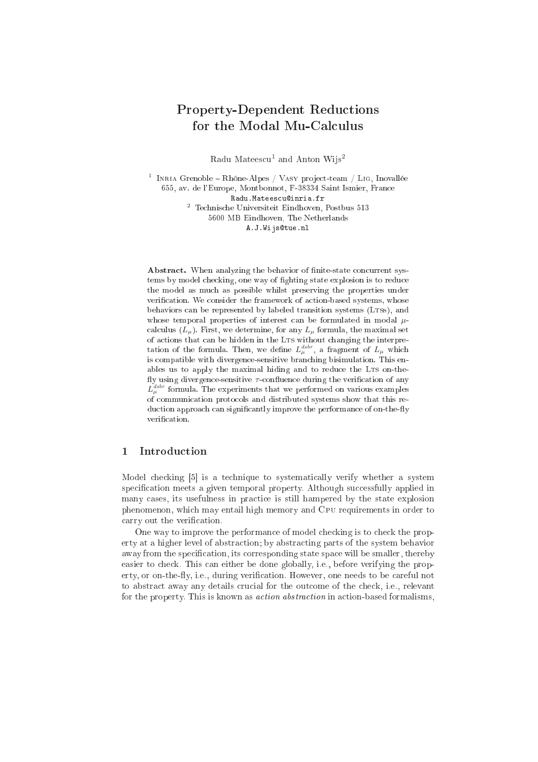# Property-Dependent Reductions for the Modal Mu-Calculus

Radu Mateescu<sup>1</sup> and Anton Wijs<sup>2</sup>

 $^1$  Inria Grenoble – Rhône-Alpes / Vasy project-team / Lig, Inovallée 655, av. de l'Europe, Montbonnot, F-38334 Saint Ismier, Fran
e Radu.Mateescu@inria.fr 2 Te
hnis
he Universiteit Eindhoven, Postbus 513 5600 MB Eindhoven, The Netherlands A.J.Wijs@tue.nl

Abstract. When analyzing the behavior of finite-state concurrent systems by model checking, one way of fighting state explosion is to reduce the model as mu
h as possible whilst preserving the properties under verification. We consider the framework of action-based systems, whose behaviors can be represented by labeled transition systems (LTSS), and whose temporal properties of interest can be formulated in modal  $\mu$ calculus  $(L_u)$ . First, we determine, for any  $L_u$  formula, the maximal set of actions that can be hidden in the LTS without changing the interpretation of the formula. Then, we define  $L_{\mu}^{dstr}$ , a fragment of  $L_{\mu}$  which is ompatible with divergen
e-sensitive bran
hing bisimulation. This enables us to apply the maximal hiding and to reduce the LTS on-thefly using divergence-sensitive  $\tau$ -confluence during the verification of any  $L_{\mu}^{dstr}$  formula. The experiments that we performed on various examples of ommuni
ation proto
ols and distributed systems show that this reduction approach can significantly improve the performance of on-the-fly verification.

## 1 Introdu
tion

Model checking [5] is a technique to systematically verify whether a system specification meets a given temporal property. Although successfully applied in many cases, its usefulness in practice is still hampered by the state explosion phenomenon, which may entail high memory and CPU requirements in order to carry out the verification.

One way to improve the performance of model checking is to check the property at a higher level of abstra
tion; by abstra
ting parts of the system behavior away from the specification, its corresponding state space will be smaller, thereby easier to check. This can either be done globally, i.e., before verifying the property, or on-the-fly, i.e., during verification. However, one needs to be careful not to abstract away any details crucial for the outcome of the check, *i.e.*, relevant for the property. This is known as *action abstraction* in action-based formalisms,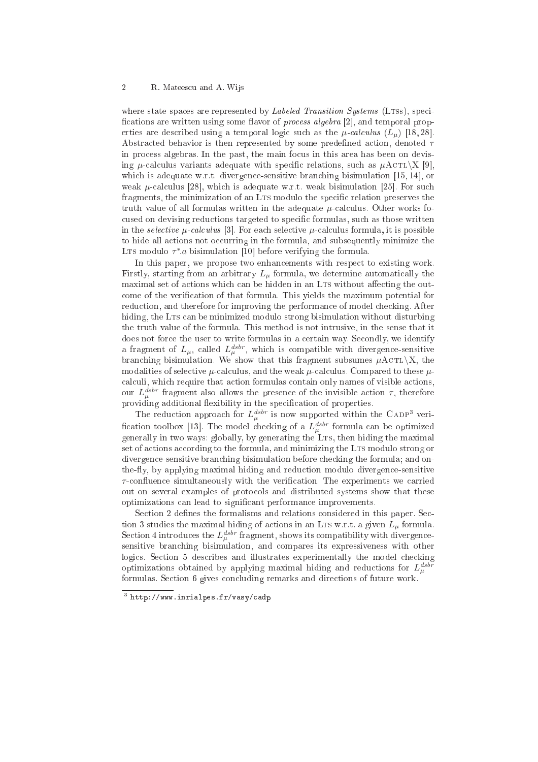where state spaces are represented by *Labeled Transition Systems* (LTSs), specifications are written using some flavor of *process algebra* [2], and temporal properties are described using a temporal logic such as the  $\mu$ -calculus  $(L_{\mu})$  [18,28]. Abstracted behavior is then represented by some predefined action, denoted  $\tau$ in pro
ess algebras. In the past, the main fo
us in this area has been on devising *u*-calculus variants adequate with specific relations, such as  $\mu$ ACTL $\chi$  [9], which is adequate w.r.t. divergence-sensitive branching bisimulation  $[15, 14]$ , or weak  $\mu$ -calculus [28], which is adequate w.r.t. weak bisimulation [25]. For such fragments, the minimization of an LTs modulo the specific relation preserves the truth value of all formulas written in the adequate  $\mu$ -calculus. Other works focused on devising reductions targeted to specific formulas, such as those written in the *selective*  $\mu$ -calculus [3]. For each selective  $\mu$ -calculus formula, it is possible to hide all actions not occurring in the formula, and subsequently minimize the LTs modulo  $\tau^*$ .a bisimulation [10] before verifying the formula.

In this paper, we propose two enhancements with respect to existing work. Firstly, starting from an arbitrary  $L<sub>u</sub>$  formula, we determine automatically the maximal set of actions which can be hidden in an LTs without affecting the outcome of the verification of that formula. This yields the maximum potential for reduction, and therefore for improving the performance of model checking. After hiding, the LTs can be minimized modulo strong bisimulation without disturbing the truth value of the formula. This method is not intrusive, in the sense that it does not force the user to write formulas in a certain way. Secondly, we identify a fragment of  $L_{\mu}$ , called  $L_{\mu}^{dstr}$ , which is compatible with divergence-sensitive branching bisimulation. We show that this fragment subsumes  $\mu$ ACTL $\chi$ , the modalities of selective  $\mu$ -calculus, and the weak  $\mu$ -calculus. Compared to these  $\mu$ calculi, which require that action formulas contain only names of visible actions, our  $L_{\mu}^{dstr}$  fragment also allows the presence of the invisible action  $\tau$ , therefore providing additional flexibility in the specification of properties.

The reduction approach for  $L_{\mu}^{dsbr}$  is now supported within the CADP<sup>3</sup> verification toolbox [13]. The model checking of a  $L_{\mu}^{dstr}$  formula can be optimized  $\mathcal{U}$ set of actions according to the formula, and minimizing the LTS modulo strong or divergence-sensitive branching bisimulation before checking the formula; and onthe-fly, by applying maximal hiding and reduction modulo divergence-sensitive  $\tau$ -confluence simultaneously with the verification. The experiments we carried out on several examples of proto
ols and distributed systems show that these optimizations can lead to significant performance improvements.

Section 2 defines the formalisms and relations considered in this paper. Section 3 studies the maximal hiding of actions in an LTs w.r.t. a given  $L_{\mu}$  formula. Section 4 introduces the  $L_{\mu}^{dstr}$  fragment, shows its compatibility with divergencesensitive bran
hing bisimulation, and ompares its expressiveness with other logics. Section 5 describes and illustrates experimentally the model checking optimizations obtained by applying maximal hiding and reductions for  $L_{\mu}^{dstr}$ formulas. Section 6 gives concluding remarks and directions of future work.

 $^{\circ}$  http://www.inrialpes.fr/vasy/cadp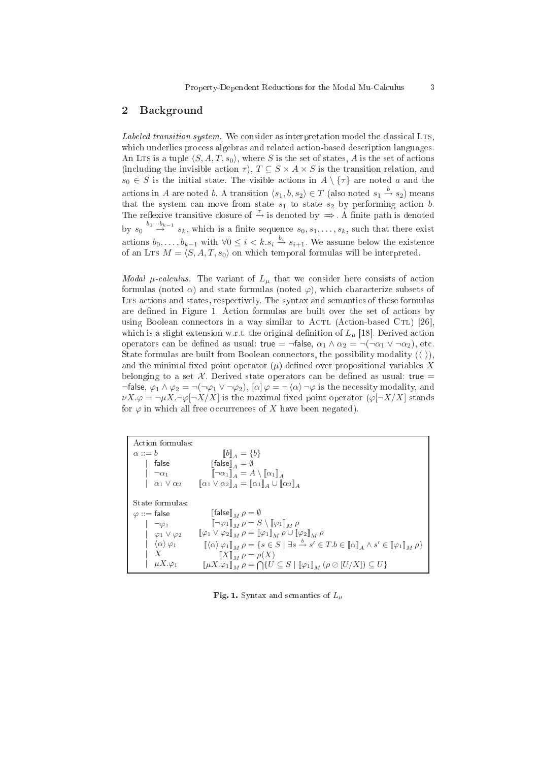### 2 Ba
kground

Labeled transition system. We consider as interpretation model the classical LTs, which underlies process algebras and related action-based description languages. An LTs is a tuple  $\langle S, A, T, s_0 \rangle$ , where S is the set of states, A is the set of actions (including the invisible action  $\tau$ ),  $T \subseteq S \times A \times S$  is the transition relation, and  $s_0 \in S$  is the initial state. The visible actions in  $A \setminus \{\tau\}$  are noted a and the actions in A are noted b. A transition  $\langle s_1, b, s_2 \rangle \in T$  (also noted  $s_1 \stackrel{b}{\rightarrow} s_2$ ) means that the system can move from state  $s_1$  to state  $s_2$  by performing action b. The reflexive transitive closure of  $\stackrel{\tau}{\rightarrow}$  is denoted by  $\Rightarrow$  . A finite path is denoted by  $s_0 \stackrel{b_0 \cdots b_{k-1}}{\rightarrow} s_k$ , which is a finite sequence  $s_0, s_1, \ldots, s_k$ , such that there exist actions  $b_0, \ldots, b_{k-1}$  with  $\forall 0 \leq i < k.s_i \stackrel{b_i}{\rightarrow} s_{i+1}$ . We assume below the existence of an LTS  $M = \langle S, A, T, s_0 \rangle$  on which temporal formulas will be interpreted.

Modal  $\mu$ -calculus. The variant of  $L_{\mu}$  that we consider here consists of action formulas (noted  $\alpha$ ) and state formulas (noted  $\varphi$ ), which characterize subsets of LTS actions and states, respectively. The syntax and semantics of these formulas are defined in Figure 1. Action formulas are built over the set of actions by using Boolean connectors in a way similar to ACTL (Action-based CTL) [26], which is a slight extension w.r.t. the original definition of  $L_u$  [18]. Derived action operators can be defined as usual: true =  $\neg$ false,  $\alpha_1 \wedge \alpha_2 = \neg(\neg \alpha_1 \vee \neg \alpha_2)$ , etc. State formulas are built from Boolean connectors, the possibility modality  $(\langle \ \rangle)$ , and the minimal fixed point operator  $(\mu)$  defined over propositional variables X belonging to a set  $\mathcal X$ . Derived state operators can be defined as usual: true =  $\neg$ false,  $\varphi_1 \wedge \varphi_2 = \neg(\neg \varphi_1 \vee \neg \varphi_2), [\alpha] \varphi = \neg \langle \alpha \rangle \neg \varphi$  is the necessity modality, and  $\nu X.\varphi = \neg \mu X.\neg \varphi [\neg X/X]$  is the maximal fixed point operator  $(\varphi [\neg X/X])$  stands for  $\varphi$  in which all free occurrences of X have been negated).

| Action formulas:                   |                                                                                                                                                                                    |
|------------------------------------|------------------------------------------------------------------------------------------------------------------------------------------------------------------------------------|
| $\alpha ::= b$                     | $  b  _A = \{b\}$                                                                                                                                                                  |
| false                              | $\llbracket \mathsf{false} \rrbracket_A = \emptyset$                                                                                                                               |
| $\neg \alpha_1$                    | $\llbracket \neg \alpha_1 \rrbracket_A = A \setminus \llbracket \alpha_1 \rrbracket_A$                                                                                             |
| $\alpha_1 \vee \alpha_2$           | $\llbracket \alpha_1 \vee \alpha_2 \rrbracket_A = \llbracket \alpha_1 \rrbracket_A \cup \llbracket \alpha_2 \rrbracket_A$                                                          |
| State formulas:                    |                                                                                                                                                                                    |
| $\varphi ::=$ false                | false   $\rho = \emptyset$                                                                                                                                                         |
| $\neg \varphi_1$                   | $[\neg \varphi_1]_M \rho = S \setminus [\varphi_1]_M \rho$                                                                                                                         |
| $ \varphi_1 \vee \varphi_2$        | $[\![\varphi_1 \vee \varphi_2]\!]_M \rho = [\![\varphi_1]\!]_M \rho \cup [\![\varphi_2]\!]_M \rho$                                                                                 |
| $\langle \alpha \rangle \varphi_1$ | $[\![\langle \alpha \rangle \varphi_1 ]\!]_M \rho = \{ s \in S \mid \exists s \stackrel{b}{\rightarrow} s' \in T.b \in [\![\alpha]\!]_A \wedge s' \in [\![\varphi_1]\!]_M \rho \}$ |
| X                                  | $\llbracket X \rrbracket_M \rho = \rho(X)$                                                                                                                                         |
| $\mu X.\varphi_1$                  | $\ \mu X.\varphi_1\ _M \rho = \bigcap \{U \subseteq S \mid \ \varphi_1\ _M (\rho \otimes  U/X ) \subseteq U\}$                                                                     |

Fig. 1. Syntax and semantics of  $L_{\mu}$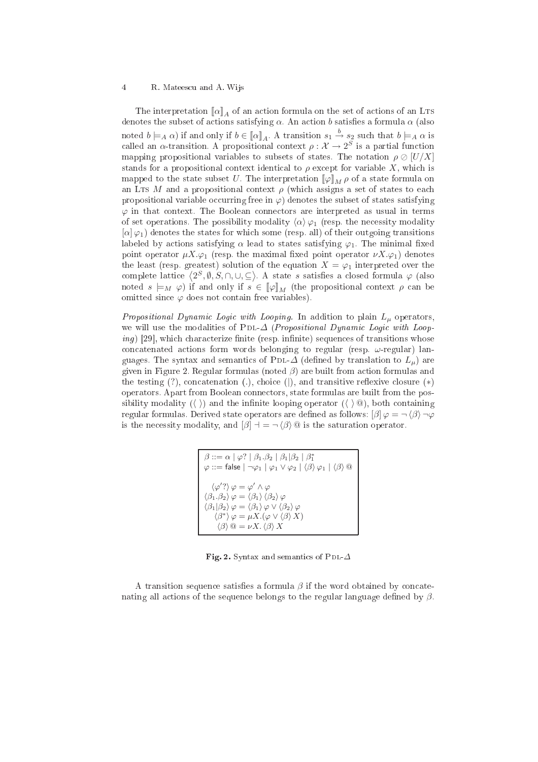### 4 R. Matees
u and A. Wijs

The interpretation  $\llbracket \alpha \rrbracket_A$  of an action formula on the set of actions of an LTS denotes the subset of actions satisfying  $\alpha$ . An action b satisfies a formula  $\alpha$  (also noted  $b \models_A \alpha$ ) if and only if  $b \in [\![\alpha]\!]_A$ . A transition  $s_1 \stackrel{b}{\rightarrow} s_2$  such that  $b \models_A \alpha$  is called an  $\alpha$ -transition. A propositional context  $\rho: \mathcal{X} \to 2^S$  is a partial function mapping propositional variables to subsets of states. The notation  $\rho \oslash [U/X]$ stands for a propositional context identical to  $\rho$  except for variable X, which is mapped to the state subset U. The interpretation  $[\varphi]_M \rho$  of a state formula on an LTs M and a propositional context  $\rho$  (which assigns a set of states to each propositional variable occurring free in  $\varphi$  denotes the subset of states satisfying  $\varphi$  in that context. The Boolean connectors are interpreted as usual in terms of set operations. The possibility modality  $\langle \alpha \rangle \varphi_1$  (resp. the necessity modality  $[\alpha] \varphi_1$  denotes the states for which some (resp. all) of their outgoing transitions labeled by actions satisfying  $\alpha$  lead to states satisfying  $\varphi_1$ . The minimal fixed point operator  $\mu X.\varphi_1$  (resp. the maximal fixed point operator  $\nu X.\varphi_1$ ) denotes the least (resp. greatest) solution of the equation  $X = \varphi_1$  interpreted over the complete lattice  $\langle 2^S, \emptyset, S, \cap, \cup, \subseteq \rangle$ . A state s satisfies a closed formula  $\varphi$  (also noted  $s \models_M \varphi$  if and only if  $s \in [\varphi]_M$  (the propositional context  $\rho$  can be omitted since  $\varphi$  does not contain free variables).

Propositional Dynamic Logic with Looping. In addition to plain  $L_u$  operators, we will use the modalities of PDL- $\Delta$  (Propositional Dynamic Logic with Loop $ing$ ) [29], which characterize finite (resp. infinite) sequences of transitions whose concatenated actions form words belonging to regular (resp.  $\omega$ -regular) languages. The syntax and semantics of PDL- $\Delta$  (defined by translation to  $L_u$ ) are given in Figure 2. Regular formulas (noted  $\beta$ ) are built from action formulas and the testing  $(?)$ , concatenation  $(.)$ , choice  $($ ), and transitive reflexive closure  $(*)$ operators. Apart from Boolean onne
tors, state formulas are built from the possibility modality ( $\langle \rangle$ ) and the infinite looping operator  $(\langle \rangle \otimes)$ , both containing regular formulas. Derived state operators are defined as follows:  $\beta$  $\varphi = \neg \langle \beta \rangle \neg \varphi$ is the necessity modality, and  $[\beta]$   $\exists$  =  $\neg$   $\langle \beta \rangle$  @ is the saturation operator.

| $\beta ::= \alpha \mid \varphi? \mid \beta_1.\beta_2 \mid \beta_1   \beta_2 \mid \beta_1^*$<br>$\varphi ::=$ false $ \neg \varphi_1   \varphi_1 \vee \varphi_2   \langle \beta \rangle \varphi_1   \langle \beta \rangle \otimes$                                                                                                                                                 |
|-----------------------------------------------------------------------------------------------------------------------------------------------------------------------------------------------------------------------------------------------------------------------------------------------------------------------------------------------------------------------------------|
| $\langle \varphi' ? \rangle \varphi = \varphi' \wedge \varphi$<br>$\langle \beta_1.\beta_2 \rangle \varphi = \langle \beta_1 \rangle \langle \beta_2 \rangle \varphi$<br>$\langle \beta_1   \beta_2 \rangle \varphi = \langle \beta_1 \rangle \varphi \vee \langle \beta_2 \rangle \varphi$<br>$\langle \beta^* \rangle \varphi = \mu X . (\varphi \vee \langle \beta \rangle X)$ |
| $\langle \beta \rangle \otimes = \nu X. \langle \beta \rangle X$                                                                                                                                                                                                                                                                                                                  |

Fig. 2. Syntax and semantics of PDL- $\Delta$ 

A transition sequence satisfies a formula  $\beta$  if the word obtained by concatenating all actions of the sequence belongs to the regular language defined by  $\beta$ .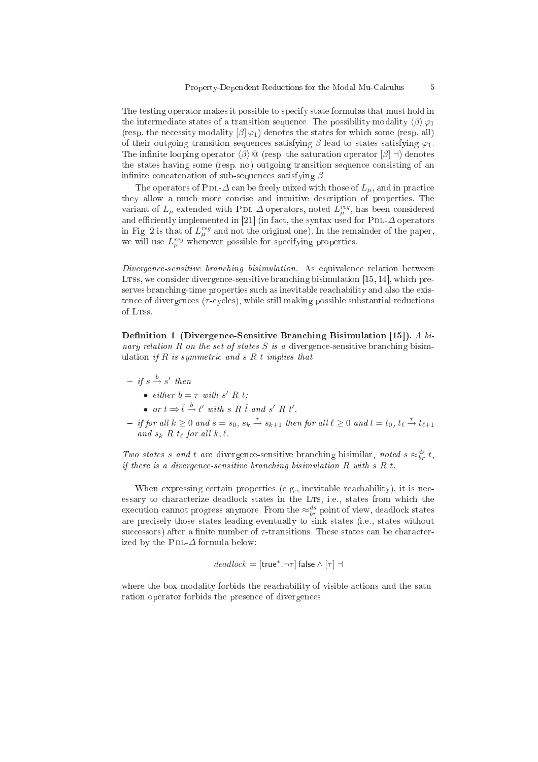The testing operator makes it possible to specify state formulas that must hold in the intermediate states of a transition sequence. The possibility modality  $\langle \beta \rangle \varphi_1$ (resp. the necessity modality  $\left[\beta\right]\varphi_1$ ) denotes the states for which some (resp. all) of their outgoing transition sequences satisfying  $\beta$  lead to states satisfying  $\varphi_1$ . The infinite looping operator  $\langle \beta \rangle \mathbb{Q}$  (resp. the saturation operator  $[\beta]$  ⊣) denotes the states having some (resp. no) outgoing transition sequence consisting of an infinite concatenation of sub-sequences satisfying  $\beta$ .

The operators of PDL- $\Delta$  can be freely mixed with those of  $L_{\mu}$ , and in practice they allow a mu
h more on
ise and intuitive des
ription of properties. The variant of  $L_{\mu}$  extended with PDL- $\Delta$  operators, noted  $L_{\mu}^{reg}$ , has been considered and efficiently implemented in [21] (in fact, the syntax used for PDL- $\Delta$  operators in Fig. 2 is that of  $L_{\mu}^{reg}$  and not the original one). In the remainder of the paper, we will use  $L_{\mu}^{reg}$  whenever possible for specifying properties.

Divergence-sensitive branching bisimulation. As equivalence relation between LTSs, we consider divergence-sensitive branching bisimulation  $[15, 14]$ , which preserves branching-time properties such as inevitable reachability and also the existence of divergences  $(\tau$ -cycles), while still making possible substantial reductions of LTSs.

hing Bisimulation 1 (Divergence). A bi-simulation in the sensitive Branch and Bisimulation in the sensitive Br nary relation  $R$  on the set of states  $S$  is a divergence-sensitive branching bisimulation if R is symmetric and s R t implies that

- $-$  if  $s \stackrel{b}{\rightarrow} s'$  then
	- either  $b = \tau$  with s' R t;
	- or  $t \Rightarrow \hat{t} \stackrel{b}{\rightarrow} t'$  with s R  $\hat{t}$  and s' R  $t'$ .
- $-$  if for all  $k \geq 0$  and  $s = s_0$ ,  $s_k \stackrel{\tau}{\rightarrow} s_{k+1}$  then for all  $\ell \geq 0$  and  $t = t_0$ ,  $t_\ell \stackrel{\tau}{\rightarrow} t_{\ell+1}$ and  $s_k$  R  $t_\ell$  for all  $k, \ell$ .

Two states s and t are divergence-sensitive branching bisimilar, noted s  $\approx_{br}^{ds} t$ , if there is a divergence-sensitive branching bisimulation  $R$  with  $s R t$ .

When expressing certain properties (e.g., inevitable reachability), it is necessary to characterize deadlock states in the LTS, i.e., states from which the execution cannot progress anymore. From the  $\approx_{br}^{ds}$  point of view, deadlock states are pre
isely those states leading eventually to sink states (i.e., states without successors) after a finite number of  $\tau$ -transitions. These states can be characterized by the PDL- $\Delta$  formula below:

$$
deadlock = [\mathsf{true}^*.\neg \tau] \mathsf{false} \land [\tau] \dashv
$$

where the box modality forbids the reachability of visible actions and the saturation operator forbids the presen
e of divergen
es.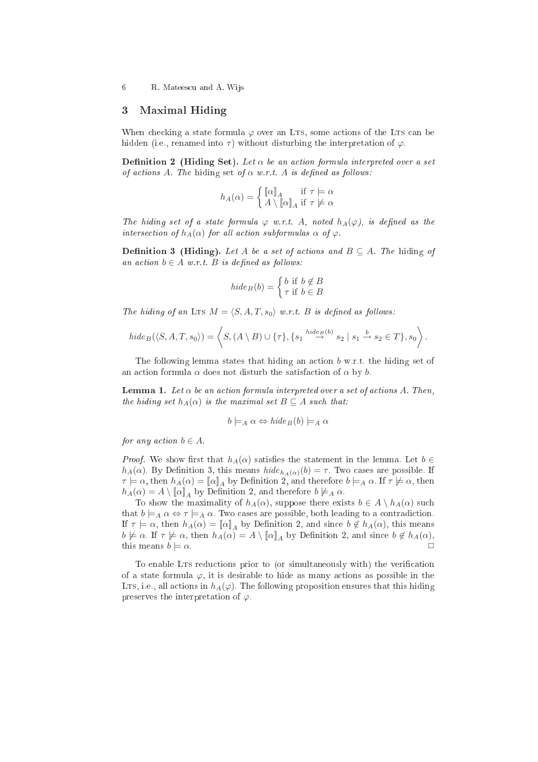6 R. Matees
u and A. Wijs

### 3 Maximal Hiding

When checking a state formula  $\varphi$  over an LTs, some actions of the LTs can be hidden (i.e., renamed into  $\tau$ ) without disturbing the interpretation of  $\varphi$ .

**Definition 2** (Hiding Set). Let  $\alpha$  be an action formula interpreted over a set of actions A. The hiding set of  $\alpha$  w.r.t. A is defined as follows:

$$
h_A(\alpha) = \begin{cases} [\![\alpha]\!]_A & \text{if } \tau \models \alpha \\ A \setminus [\![\alpha]\!]_A & \text{if } \tau \not\models \alpha \end{cases}
$$

The hiding set of a state formula  $\varphi$  w.r.t. A, noted  $h_A(\varphi)$ , is defined as the intersection of  $h_A(\alpha)$  for all action subformulas  $\alpha$  of  $\varphi$ .

**Definition 3 (Hiding).** Let A be a set of actions and  $B \subseteq A$ . The hiding of an action  $b \in A$  w.r.t. B is defined as follows:

$$
hide_B(b) = \begin{cases} b & \text{if } b \notin B \\ \tau & \text{if } b \in B \end{cases}
$$

The hiding of an LTS  $M = \langle S, A, T, s_0 \rangle$  w.r.t. B is defined as follows:

$$
hide_B(\langle S, A, T, s_0 \rangle) = \left\langle S, (A \setminus B) \cup \{\tau\}, \{s_1 \stackrel{hide_B(b)}{\rightarrow} s_2 \mid s_1 \stackrel{b}{\rightarrow} s_2 \in T\}, s_0 \right\rangle.
$$

The following lemma states that hiding an action  $b$  w.r.t. the hiding set of an action formula  $\alpha$  does not disturb the satisfaction of  $\alpha$  by b.

**Lemma 1.** Let  $\alpha$  be an action formula interpreted over a set of actions A. Then, the hiding set  $h_A(\alpha)$  is the maximal set  $B \subseteq A$  such that:

$$
b \models_A \alpha \Leftrightarrow hide_B(b) \models_A \alpha
$$

for any action  $b \in A$ .

*Proof.* We show first that  $h_A(\alpha)$  satisfies the statement in the lemma. Let  $b \in$  $h_A(\alpha)$ . By Definition 3, this means  $hide_{h_A(\alpha)}(b) = \tau$ . Two cases are possible. If  $\tau \models \alpha$ , then  $h_A(\alpha) = [\![\alpha]\!]_A$  by Definition 2, and therefore  $b \models_A \alpha$ . If  $\tau \not\models \alpha$ , then  $h_A(\alpha) = A \setminus [\![\alpha]\!]_A$  by Definition 2, and therefore  $b \not\models_A \alpha$ .

To show the maximality of  $h_A(\alpha)$ , suppose there exists  $b \in A \setminus h_A(\alpha)$  such that  $b \models_A \alpha \Leftrightarrow \tau \models_A \alpha$ . Two cases are possible, both leading to a contradiction. If  $\tau \models \alpha$ , then  $h_A(\alpha) = [\![\alpha]\!]_A$  by Definition 2, and since  $b \notin h_A(\alpha)$ , this means  $b \not\models \alpha$ . If  $\tau \not\models \alpha$ , then  $h_A(\alpha) = A \setminus [\![\alpha]\!]_A$  by Definition 2, and since  $b \not\in h_A(\alpha)$ , this means  $b \models \alpha$ .

To enable LTs reductions prior to (or simultaneously with) the verification of a state formula  $\varphi$ , it is desirable to hide as many actions as possible in the LTs, i.e., all actions in  $h_A(\varphi)$ . The following proposition ensures that this hiding preserves the interpretation of  $\varphi$ .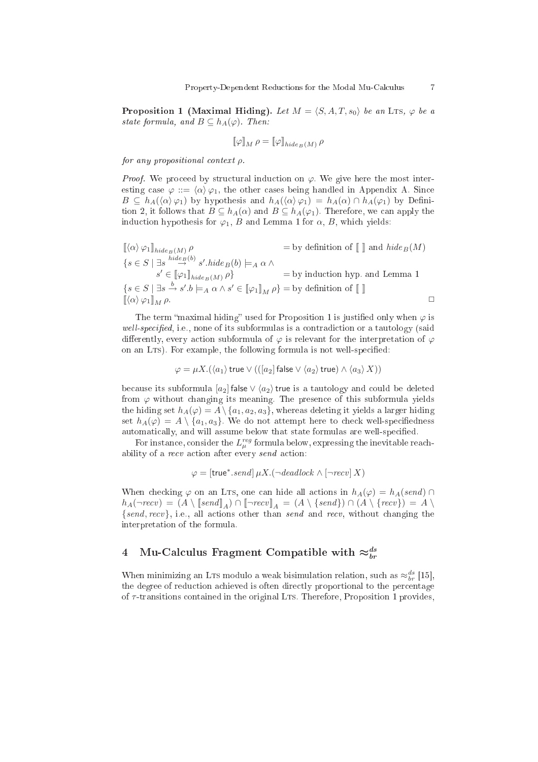Proposition 1 (Maximal Hiding). Let  $M = \langle S, A, T, s_0 \rangle$  be an Lts,  $\varphi$  be a state formula, and  $B \subseteq h_A(\varphi)$ . Then:

$$
\llbracket \varphi \rrbracket_M \, \rho = \llbracket \varphi \rrbracket_{hide_B(M)} \, \rho
$$

for any propositional ontext ρ.

*Proof.* We proceed by structural induction on  $\varphi$ . We give here the most interesting case  $\varphi ::= \langle \alpha \rangle \varphi_1$ , the other cases being handled in Appendix A. Since  $B \subseteq h_A(\langle \alpha \rangle \varphi_1)$  by hypothesis and  $h_A(\langle \alpha \rangle \varphi_1) = h_A(\alpha) \cap h_A(\varphi_1)$  by Definition 2, it follows that  $B \subseteq h_A(\alpha)$  and  $B \subseteq h_A(\varphi_1)$ . Therefore, we can apply the induction hypothesis for  $\varphi_1$ , B and Lemma 1 for  $\alpha$ , B, which yields:

$$
\begin{aligned}\n\left[ \langle \alpha \rangle \varphi_1 \right]_{hide_B(M)} \rho &= \text{by definition of } \left[ \; \right] \text{ and } hide_B(M) \\
\{ s \in S \; \vert \; \exists s \stackrel{hide_B(b)}{\to} s'.hide_B(b) \models_A \alpha \land \\
s' \in \llbracket \varphi_1 \rrbracket_{hide_B(M)} \rho \} &= \text{by induction hyp. and Lemma 1} \\
\{ s \in S \; \vert \; \exists s \stackrel{b}{\to} s'.b \models_A \alpha \land s' \in \llbracket \varphi_1 \rrbracket_M \rho \} &= \text{by definition of } \llbracket \; \rrbracket\n\end{aligned}
$$

The term "maximal hiding" used for Proposition 1 is justified only when  $\varphi$  is well-specified, i.e., none of its subformulas is a contradiction or a tautology (said differently, every action subformula of  $\varphi$  is relevant for the interpretation of  $\varphi$ on an LTs). For example, the following formula is not well-specified:

$$
\varphi = \mu X. (\langle a_1 \rangle \, \text{true} \vee (([a_2] \, \text{false} \vee \langle a_2 \rangle \, \text{true}) \wedge \langle a_3 \rangle \, X))
$$

because its subformula  $[a_2]$  false  $\vee \langle a_2 \rangle$  true is a tautology and could be deleted from  $\varphi$  without changing its meaning. The presence of this subformula yields the hiding set  $h_A(\varphi) = A \setminus \{a_1, a_2, a_3\}$ , whereas deleting it yields a larger hiding set  $h_A(\varphi) = A \setminus \{a_1, a_3\}$ . We do not attempt here to check well-specifiedness  $% \left\vert \phi _{n}\right\rangle$  automatically, and will assume below that state formulas are well-specified.

For instance, consider the  $L^{reg}_{\mu}$  formula below, expressing the inevitable reachability of a *recv* action after every *send* action:

$$
\varphi = [\text{true}^*.send] \, \mu X.(\neg \text{deadlock} \land [\neg \text{recv}] \, X)
$$

When checking  $\varphi$  on an LTs, one can hide all actions in  $h_A(\varphi) = h_A(send) \cap$  $h_A(\neg recv) = (A \setminus \llbracket send \rrbracket_A) \cap \llbracket \neg recv \rrbracket_A = (A \setminus \{send\}) \cap (A \setminus \{recv\}) = A \setminus$  $\{send, recv\}$ , i.e., all actions other than send and recv, without changing the interpretation of the formula.

# 4 Mu-Calculus Fragment Compatible with  $\approx_{br}^{ds}$

When minimizing an LTs modulo a weak bisimulation relation, such as  $\approx_{br}^{ds}$  [15], the degree of reduction achieved is often directly proportional to the percentage of  $\tau$ -transitions contained in the original LTS. Therefore, Proposition 1 provides,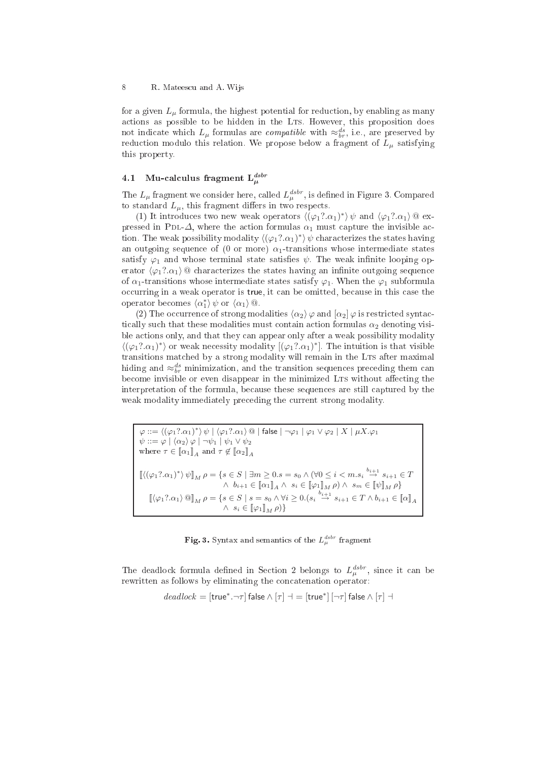for a given  $L_{\mu}$  formula, the highest potential for reduction, by enabling as many actions as possible to be hidden in the LTS. However, this proposition does not indicate which  $L_{\mu}$  formulas are *compatible* with  $\approx_{br}^{ds}$ , i.e., are preserved by reduction modulo this relation. We propose below a fragment of  $L<sub>\mu</sub>$  satisfying this property.

#### 4.1 Mu-calculus fragment  $\mathcal{L}^{dstr}_{ab}$  $\mu$

The  $L_{\mu}$  fragment we consider here, called  $L_{\mu}^{dstr}$ , is defined in Figure 3. Compared to standard  $L_{\mu}$ , this fragment differs in two respects.

(1) It introduces two new weak operators  $\langle (\varphi_1? \alpha_1)^* \rangle \psi$  and  $\langle \varphi_1? \alpha_1 \rangle \otimes \text{ex-}$ pressed in PDL- $\Delta$ , where the action formulas  $\alpha_1$  must capture the invisible action. The weak possibility modality  $\langle (\varphi_1? . \alpha_1)^* \rangle \, \psi$  characterizes the states having an outgoing sequence of (0 or more)  $\alpha_1$ -transitions whose intermediate states satisfy  $\varphi_1$  and whose terminal state satisfies  $\psi$ . The weak infinite looping operator  $\langle \varphi_1$ ?. $\alpha_1 \rangle$  @ characterizes the states having an infinite outgoing sequence of  $\alpha_1$ -transitions whose intermediate states satisfy  $\varphi_1$ . When the  $\varphi_1$  subformula occurring in a weak operator is true, it can be omitted, because in this case the operator becomes  $\langle \alpha_1^* \rangle \psi$  or  $\langle \alpha_1 \rangle$   $\textcircled{a}$ .

(2) The occurrence of strong modalities  $\langle \alpha_2 \rangle \varphi$  and  $[\alpha_2] \varphi$  is restricted syntactically such that these modalities must contain action formulas  $\alpha_2$  denoting visible actions only, and that they can appear only after a weak possibility modality  $\langle (\varphi_1? \alpha_1)^* \rangle$  or weak necessity modality  $[(\varphi_1? \alpha_1)^*]$ . The intuition is that visible transitions matched by a strong modality will remain in the LTS after maximal hiding and  $\approx_{br}^{ds}$  minimization, and the transition sequences preceding them can become invisible or even disappear in the minimized LTS without affecting the interpretation of the formula, be
ause these sequen
es are still aptured by the weak modality immediately preceding the current strong modality.

 $\varphi ::= \langle (\varphi_1?.\alpha_1)^* \rangle \psi \mid \langle \varphi_1?.\alpha_1 \rangle \t\t\t\t@ \mid \text{false} \mid \neg \varphi_1 \mid \varphi_1 \vee \varphi_2 \mid X \mid \mu X. \varphi_1$  $\psi ::= \varphi \mid \langle \alpha_2 \rangle \varphi \mid \neg \psi_1 \mid \psi_1 \vee \psi_2$ where  $\tau \in [\![\alpha_1]\!]_A$  and  $\tau \notin [\![\alpha_2]\!]_A$  $\llbracket \langle (\varphi_1?.\alpha_1)^* \rangle \psi \rrbracket_M \, \rho = \{ s \in S \mid \exists m \geq 0 . s = s_0 \wedge (\forall 0 \leq i < m . s_i \stackrel{b_{i+1}}{\rightarrow} s_{i+1} \in T \}$  $\wedge$   $b_{i+1} \in [\![\alpha_1]\!]_A \wedge s_i \in [\![\varphi_1]\!]_M \rho) \wedge s_m \in [\![\psi]\!]_M \rho\}$  $[\![\langle \varphi_1? . \alpha_1 \rangle \mathbin{@}]\!]_M \, \rho = \{ s \in S \mid s = s_0 \wedge \forall i \geq 0. \bigl( s_i \stackrel{b_{i+1}}{\rightarrow} s_{i+1} \in T \wedge b_{i+1} \in [\![\alpha]\!]_A$  $\wedge s_i \in [\![\varphi_1]\!]_M \rho) \}$ 

**Fig. 3.** Syntax and semantics of the  $L_{\mu}^{dstr}$  fragment

The deadlock formula defined in Section 2 belongs to  $L_{\mu}^{dstr}$ , since it can be rewritten as follows by eliminating the concatenation operator:

$$
\mathit{deadlock} = [\mathsf{true}^*.\neg\tau] \mathsf{false} \wedge [\tau] \dashv = [\mathsf{true}^*] \, [\neg\tau] \mathsf{false} \wedge [\tau] \dashv
$$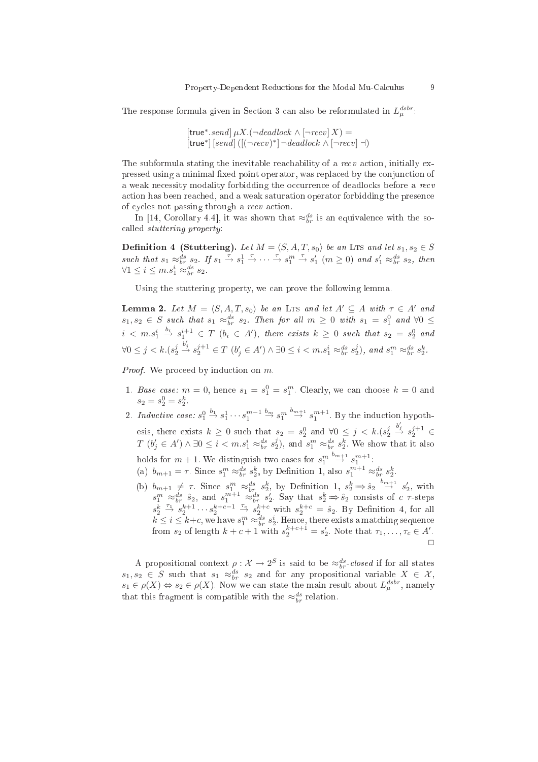The response formula given in Section 3 can also be reformulated in  $L_{\mu}^{dsbr}$ :

 $[\text{true}^*.send] \mu X.(\neg \text{deadlock} \wedge [\neg \text{recv}] X) =$  $[true^*]$   $[send]$   $([(\neg recv)^*] \neg deadlock \wedge [\neg recv] \dashv)$ 

The subformula stating the inevitable reachability of a recv action, initially expressed using a minimal fixed point operator, was replaced by the conjunction of a weak necessity modality forbidding the occurrence of deadlocks before a recv action has been reached, and a weak saturation operator forbidding the presence of cycles not passing through a recv action.

In [14, Corollary 4.4], it was shown that  $\approx_{br}^{ds}$  is an equivalence with the socalled *stuttering property*:

**Definition 4 (Stuttering).** Let  $M = \langle S, A, T, s_0 \rangle$  be an LTs and let  $s_1, s_2 \in S$ such that  $s_1 \approx_{br}^{ds} s_2$ . If  $s_1 \stackrel{\tau}{\rightarrow} s_1^1 \stackrel{\tau}{\rightarrow} \cdots \stackrel{\tau}{\rightarrow} s_1^m \stackrel{\tau}{\rightarrow} s_1'$  ( $m \ge 0$ ) and  $s_1' \approx_{br}^{ds} s_2$ , then  $\forall 1 \leq i \leq m.s_1^i \approx_{br}^{ds} s_2.$ 

Using the stuttering property, we an prove the following lemma.

**Lemma 2.** Let  $M = \langle S, A, T, s_0 \rangle$  be an Lts and let  $A' \subseteq A$  with  $\tau \in A'$  and  $s_1, s_2 \in S$  such that  $s_1 \approx_{br}^{ds} s_2$ . Then for all  $m \geq 0$  with  $s_1 = s_1^0$  and  $\forall 0 \leq$  $i \leq m.s_1^i \stackrel{b_i}{\rightarrow} s_1^{i+1} \in T$   $(b_i \in A')$ , there exists  $k \geq 0$  such that  $s_2 = s_2^0$  and  $\forall 0 \leq j < k.(s_2^j)$  $\stackrel{b_j'}{\rightarrow} s_2^{j+1} \in T$   $(b_j' \in A') \wedge \exists 0 \le i < m.s_1^i \approx_{br}^{ds} s_2^j$ , and  $s_1^m \approx_{br}^{ds} s_2^k$ .

Proof. We proceed by induction on m.

- 1. Base case:  $m = 0$ , hence  $s_1 = s_1^0 = s_1^m$ . Clearly, we can choose  $k = 0$  and  $s_2 = s_2^0 = s_2^k$
- 2. Inductive case:  $s_1^0 \stackrel{b_1}{\rightarrow} s_1^1 \cdots s_1^{m-1} \stackrel{b_m}{\rightarrow} s_1^{m} \stackrel{b_{m+1}}{\rightarrow} s_1^{m+1}$ . By the induction hypothesis, there exists  $k \geq 0$  such that  $s_2 = s_2^0$  and  $\forall 0 \leq j \leq k.(s_2^j)$  $\stackrel{b_j'}{\rightarrow} s_2^{j+1} \in$  $T (b'_j \in A') \wedge \exists 0 \leq i < m.s_1^i \approx_{br}^{ds} s_2^j$ , and  $s_1^m \approx_{br}^{ds} s_2^k$ . We show that it also holds for  $m + 1$ . We distinguish two cases for  $s_1^m \stackrel{b_{m+1}}{\rightarrow} s_1^{m+1}$ .
	- (a)  $b_{m+1} = \tau$ . Since  $s_1^m \approx_{br}^{ds} s_2^k$ , by Definition 1, also  $s_1^{m+1} \approx_{br}^{ds} s_2^k$ 2, by Deminion 1, also  $s_1 \sim b_r s_2$ .
	- (b)  $b_{m+1} \neq \tau$ . Since  $s_1^m \approx_{br}^{ds} s_2^k$ , by Definition 1,  $s_2^k \Rightarrow \hat{s}_2 \stackrel{b_{m+1}}{\rightarrow} s_2^{\prime}$ , with  $s_1^m \approx_{br}^{ds} \hat{s}_2$ , and  $s_1^{m+1} \approx_{br}^{ds} s_2^{\prime}$ . Say that  $s_2^k \Rightarrow \hat{s}_2$  consists of c  $\tau$ -steps  $s_2^{\overline{k}} \stackrel{\tau_1}{\rightarrow} s_2^{k+1} \cdots s_2^{k+c-1} \stackrel{\tau_c}{\rightarrow} s_2^{k+c}$  with  $s_2^{k+c} = \hat{s}_2$ . By Definition 4, for all  $k \leq i \leq k+c$ , we have  $s_1^m \approx_{br}^{ds} s_2^i$ . Hence, there exists a matching sequence<br>from  $s_2$  of length  $k+c+1$  with  $s_2^{k+c+1} = s_2'$ . Note that  $\tau_1, \ldots, \tau_c \in A'$ .

A propositional context  $\rho: \mathcal{X} \to 2^S$  is said to be  $\approx_{br}^{ds}$ -closed if for all states  $s_1, s_2 \in S$  such that  $s_1 \approx_{br}^{ds} s_2$  and for any propositional variable  $X \in \mathcal{X}$ ,  $s_1 \in \rho(X) \Leftrightarrow s_2 \in \rho(X)$ . Now we can state the main result about  $L_{\mu}^{dstr}$ , namely that this fragment is compatible with the  $\approx_{br}^{ds}$  relation.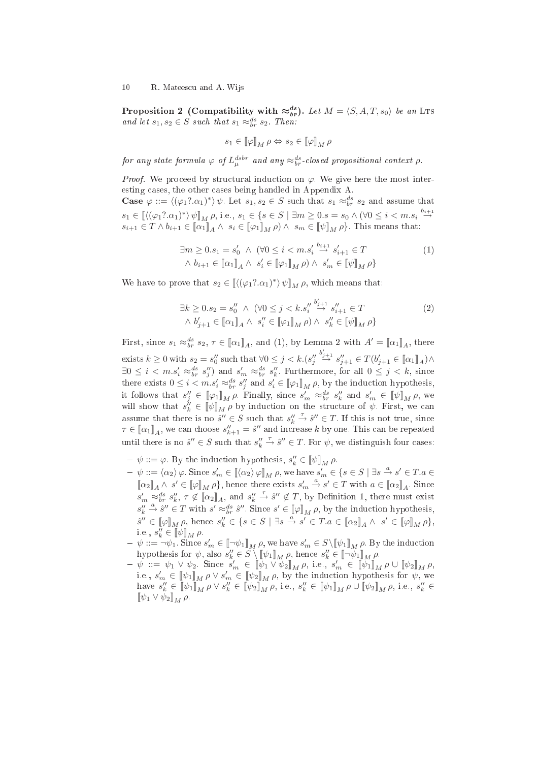**Proposition 2** (Compatibility with  $\approx_{br}^{ds}$ ). Let  $M = \langle S, A, T, s_0 \rangle$  be an Lts and let  $s_1, s_2 \in S$  such that  $s_1 \approx_{br}^{ds} s_2$ . Then:

$$
s_1\in[\![\varphi]\!]_M\,\rho\Leftrightarrow s_2\in[\![\varphi]\!]_M\,\rho
$$

for any state formula  $\varphi$  of  $L_\mu^{dstr}$  and any  $\approx_{br}^{ds}$ -closed propositional context  $\rho$ .

*Proof.* We proceed by structural induction on  $\varphi$ . We give here the most interesting cases, the other cases being handled in Appendix A.

**Case**  $\varphi ::= \langle (\varphi_1? \alpha_1)^* \rangle \psi$ . Let  $s_1, s_2 \in S$  such that  $s_1 \approx_{br}^{ds} s_2$  and assume that  $s_1 \in \left[ \langle (\varphi_1? \alpha_1)^* \rangle \psi \right]_M \rho$ , i.e.,  $s_1 \in \{ s \in S \mid \exists m \ge 0 \ldots s_0 \land (\forall 0 \le i < m \ldots s_i \stackrel{b_{i+1}}{\rightarrow} \varnothing) \}$  $s_{i+1} \in T \wedge b_{i+1} \in [\![\alpha_1]\!]_A \wedge s_i \in [\![\varphi_1]\!]_M \rho) \wedge s_m \in [\![\psi]\!]_M \rho\}.$  This means that:

$$
\exists m \ge 0. s_1 = s'_0 \land (\forall 0 \le i < m.s'_i \stackrel{b_{i+1}}{\to} s'_{i+1} \in T \land b_{i+1} \in [\![\alpha_1]\!]_A \land s'_i \in [\![\varphi_1]\!]_M \rho) \land s'_m \in [\![\psi]\!]_M \rho \}
$$
\n
$$
(1)
$$

We have to prove that  $s_2 \in [ \langle (\varphi_1? \alpha_1)^* \rangle \psi ]_M \rho$ , which means that:

$$
\exists k \ge 0. s_2 = s_0'' \land (\forall 0 \le j < k. s_i'' \stackrel{b_{j+1}'}{\rightarrow} s_{i+1}'' \in T
$$
  

$$
\land b_{j+1}' \in [\![\alpha_1]\!]_A \land s_i'' \in [\![\varphi_1]\!]_M \rho) \land s_k'' \in [\![\psi]\!]_M \rho \}
$$
\n
$$
(2)
$$

First, since  $s_1 \approx_{br}^{ds} s_2, \tau \in [\![\alpha_1]\!]_A$ , and (1), by Lemma 2 with  $A' = [\![\alpha_1]\!]_A$ , there exists  $k \geq 0$  with  $s_2 = s_0''$  such that  $\forall 0 \leq j < k.(s_j'')$  $\stackrel{b'_{j+1}}{\rightarrow} s''_{j+1} \in T(b'_{j+1} \in [\![\alpha_1]\!]_A) \wedge$  $\exists 0 \leq i < m.s'_i \approx_{br}^{ds} s''_j$  and  $s'_m \approx_{br}^{ds} s''_k$ . Furthermore, for all  $0 \leq j < k$ , since there exists  $0 \leq i < m.s'_i \approx_{br}^{ds} s''_j$  and  $s'_i \in [\![\varphi_1]\!]_M \rho$ , by the induction hypothesis, it follows that  $s''_j \in [\![\varphi_1]\!]_M \rho$ . Finally, since  $s'_m \approx_{br}^{ds} s''_k$  and  $s'_m \in [\![\psi]\!]_M \rho$ , we will show that  $s_k'' \in [\![\psi]\!]_M \rho$  by induction on the structure of  $\psi$ . First, we can assume that there is no  $\hat{s}'' \in S$  such that  $s''_k \stackrel{\tau}{\rightarrow} \hat{s}'' \in T$ . If this is not true, since  $\tau \in [\![\alpha_1]\!]_A$ , we can choose  $s''_{k+1} = \hat{s}''$  and increase k by one. This can be repeated until there is no  $\hat{s}'' \in S$  such that  $s''_k \stackrel{\tau}{\rightarrow} \hat{s}'' \in T$ . For  $\psi$ , we distinguish four cases:

- $-\psi ::= \varphi$ . By the induction hypothesis,  $s_k'' \in [\![\psi]\!]_M \rho$ .
- $-\psi ::= \langle \alpha_2 \rangle \varphi$ . Since  $s'_m \in [\langle \alpha_2 \rangle \varphi]_M$   $\rho$ , we have  $s'_m \in \{s \in S \mid \exists s \stackrel{a}{\rightarrow} s' \in T.a \in T s \land \neg s \land s' \in T s \land \neg s' \in T s \land \neg s' \in T s \land \neg s' \in T s \land \neg s' \in T s \land \neg s' \in T s \land \neg s' \in T s \land \neg s' \in T s \land \neg s' \in T s \land \neg s' \in T s \land \neg s' \in T s \land \neg s' \in T s \land$  $[\![\alpha_2]\!]_A \wedge s' \in [\![\varphi]\!]_M \rho$ , hence there exists  $s'_m \stackrel{a}{\to} s' \in T$  with  $a \in [\![\alpha_2]\!]_A$ . Since  $s'_m \approx_{br}^{ds} s''_k, \tau \notin [\![\alpha_2]\!]_A$ , and  $s''_k \stackrel{\tau}{\to} \hat{s}'' \notin T$ , by Definition 1, there must exist  $s''_k \stackrel{a}{\rightarrow} \hat{s}'' \in T$  with  $s' \approx_{br}^{ds} \hat{s}''$ . Since  $s' \in [\![\varphi]\!]_M \rho$ , by the induction hypothesis,  $\hat{s}'' \in [\![\varphi]\!]_M \rho,$  hence  $s''_k \in \{s \in S \mid \exists s \stackrel{a}{\to} s' \in T.a \in [\![\alpha_2]\!]_A \wedge s' \in [\![\varphi]\!]_M \rho\},$ i.e.,  $s_k'' \in [\![\psi]\!]_M \rho$ .
- $-\psi ::= \neg \psi_1$ . Since  $s'_m \in [\neg \psi_1]_M \rho$ , we have  $s'_m \in S \setminus [\![\psi_1]\!]_M \rho$ . By the induction hypothesis for  $\psi$ , also  $s''_k \in S \setminus [\![\psi_1]\!]_M \rho$ , hence  $s''_k \in [\![\neg \psi_1]\!]_M \rho$ .<br>  $-\psi := \psi_1 \vee \psi_2$ . Since  $s'_m \in [\![\psi_1 \vee \psi_2]\!]_M \rho$ , i.e.,  $s'_m \in [\![\psi_1]\!]_M \rho \cup [\![\psi_2]\!]_M \rho$ ,
- i.e.,  $s'_m \in [\![\psi_1]\!]_M \rho \vee s'_m \in [\![\psi_2]\!]_M \rho$ , by the induction hypothesis for  $\psi$ , we have  $s''_k \in \llbracket \psi_1 \rrbracket_M^{\mathsf{T}} \rho \vee s''_k \in \llbracket \psi_2 \rrbracket_M^{\mathsf{T}} \rho$ , i.e.,  $s''_k \in \llbracket \psi_1 \rrbracket_M^{\mathsf{T}} \rho \cup \llbracket \psi_2 \rrbracket_M^{\mathsf{T}} \rho$ , i.e.,  $s''_k \in \mathcal{S}'_k$  $[\![\psi_1 \vee \psi_2]\!]_M \rho.$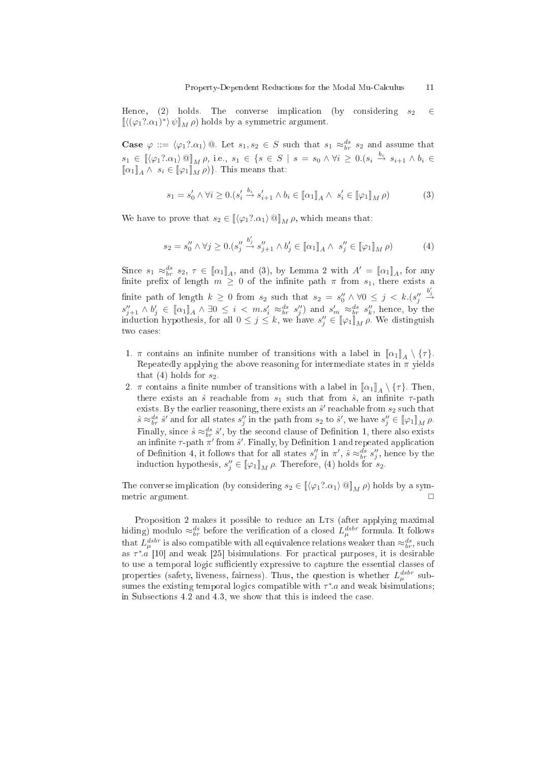Hence, (2) holds. The converse implication (by considering  $s_2 \in$  $\left[ \left\langle (\varphi_1?.\alpha_1)^* \right\rangle \psi \right]_M \rho$ ) holds by a symmetric argument.

**Case**  $\varphi ::= \langle \varphi_1? \alpha_1 \rangle \otimes$ . Let  $s_1, s_2 \in S$  such that  $s_1 \approx_{br}^{ds} s_2$  and assume that  $s_1 \in [\langle \varphi_1? \alpha_1 \rangle \mathbb{Q}]_M \rho$ , i.e.,  $s_1 \in \{s \in S \mid s = s_0 \land \forall i \geq 0. (s_i \stackrel{b_i}{\rightarrow} s_{i+1} \land b_i \in S \rangle]$  $[\![\alpha_1]\!]_A \wedge s_i \in [\![\varphi_1]\!]_M \rho)$ . This means that:

$$
s_1 = s'_0 \land \forall i \ge 0. (s'_i \stackrel{b_i}{\to} s'_{i+1} \land b_i \in [\![\alpha_1]\!]_A \land s'_i \in [\![\varphi_1]\!]_M \rho)
$$
 (3)

We have to prove that  $s_2 \in [\![\langle \varphi_1? \alpha_1 \rangle \mathbb{Q}]\!]_M \rho$ , which means that:

$$
s_2 = s_0'' \wedge \forall j \ge 0. \left(s_j'' \xrightarrow{b_j'} s_{j+1}'' \wedge b_j' \in [\![\alpha_1]\!]_A \wedge s_j'' \in [\![\varphi_1]\!]_M \rho \right) \tag{4}
$$

Since  $s_1 \approx_{br}^{ds} s_2, \tau \in [\![\alpha_1]\!]_A$ , and (3), by Lemma 2 with  $A' = [\![\alpha_1]\!]_A$ , for any finite prefix of length  $m \geq 0$  of the infinite path  $\pi$  from  $s_1$ , there exists a finite path of length  $k \geq 0$  from  $s_2$  such that  $s_2 = s''_0 \wedge \forall 0 \leq j \lt k.(s''_j)$  $\stackrel{b'_j}{\rightarrow}$  $s''_{j+1} \wedge b'_j \in [\![\alpha_1]\!]_A \wedge \exists 0 \leq i < m.s'_i \approx^{ds}_{br} s''_j$  and  $s'_m \approx^{ds}_{br} s''_k$ , hence, by the induction hypothesis, for all  $0 \leq j \leq k$ , we have  $s''_j \in [\![\varphi_1]\!]_M \rho$ . We distinguish two cases:

- 1.  $\pi$  contains an infinite number of transitions with a label in  $[\![\alpha_1]\!]_A \setminus {\{\tau\}}$ . Repeatedly applying the above reasoning for intermediate states in  $\pi$  yields that (4) holds for  $s_2$ .
- 2.  $\pi$  contains a finite number of transitions with a label in  $[\![\alpha_1]\!]_A \setminus {\{\tau\}}$ . Then, there exists an  $\hat{s}$  reachable from  $s_1$  such that from  $\hat{s}$ , an infinite  $\tau$ -path exists. By the earlier reasoning, there exists an  $\hat{s}'$  reachable from  $s_2$  such that  $\hat{s} \approx_{br}^{ds} \hat{s}'$  and for all states  $s''_j$  in the path from  $s_2$  to  $\hat{s}'$ , we have  $s''_j \in [\![\varphi_1]\!]_M \rho$ . Finally, since  $\hat{s} \approx_{br}^{ds} \hat{s}'$ , by the second clause of Definition 1, there also exists an infinite  $\tau$ -path  $\pi'$  from  $\hat{s}'$ . Finally, by Definition 1 and repeated application of Definition 4, it follows that for all states  $s''_j$  in  $\pi'$ ,  $\hat{s} \approx_{br}^{ds} s''_j$ , hence by the induction hypothesis,  $s''_j \in [\![\varphi_1]\!]_M \rho$ . Therefore, (4) holds for  $s_2$ .

The converse implication (by considering  $s_2 \in [(\varphi_1? \alpha_1) \otimes]_M \rho$ ) holds by a symmetri argument. ✷

Proposition 2 makes it possible to reduce an LTs (after applying maximal hiding) modulo  $\approx_{br}^{ds}$  before the verification of a closed  $L_\mu^{dsbr}$  formula. It follows that  $L_{\mu}^{dsbr}$  is also compatible with all equivalence relations weaker than  $\approx_{br}^{ds},$  such as  $\tau^* a$  [10] and weak [25] bisimulations. For practical purposes, it is desirable to use a temporal logic sufficiently expressive to capture the essential classes of properties (safety, liveness, fairness). Thus, the question is whether  $L_{\mu}^{dstr}$  subsumes the existing temporal logics compatible with  $\tau^*$  and weak bisimulations; in Subse
tions 4.2 and 4.3, we show that this is indeed the ase.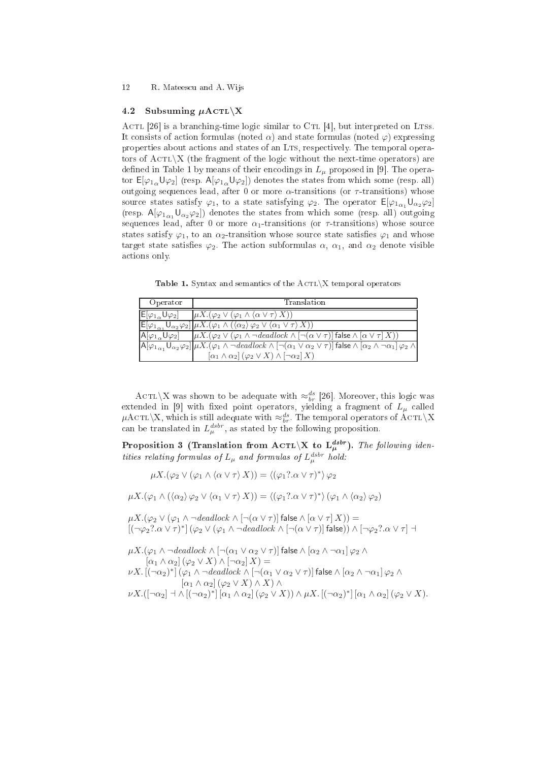#### 12 R. Mateescu and A. Wijs

#### 4.2Subsuming  $\mu$ ACTL $\X$

ACTL [26] is a branching-time logic similar to CTL [4], but interpreted on LTSs. It consists of action formulas (noted  $\alpha$ ) and state formulas (noted  $\varphi$ ) expressing properties about actions and states of an LTS, respectively. The temporal operators of  $\text{ACTL}\X$  (the fragment of the logic without the next-time operators) are defined in Table 1 by means of their encodings in  $L_{\mu}$  proposed in [9]. The operator  $E[\varphi_{1\alpha} \cup \varphi_2]$  (resp.  $A[\varphi_{1\alpha} \cup \varphi_2]$ ) denotes the states from which some (resp. all) outgoing sequences lead, after 0 or more  $\alpha$ -transitions (or  $\tau$ -transitions) whose source states satisfy  $\varphi_1$ , to a state satisfying  $\varphi_2$ . The operator  $E[\varphi_{1\alpha_1}U_{\alpha_2}\varphi_2]$ (resp.  $A[\varphi_{1\alpha},U_{\alpha\beta}\varphi_2]$ ) denotes the states from which some (resp. all) outgoing sequences lead, after 0 or more  $\alpha_1$ -transitions (or  $\tau$ -transitions) whose source states satisfy  $\varphi_1$ , to an  $\alpha_2$ -transition whose source state satisfies  $\varphi_1$  and whose target state satisfies  $\varphi_2$ . The action subformulas  $\alpha$ ,  $\alpha_1$ , and  $\alpha_2$  denote visible a
tions only.

Table 1. Syntax and semantics of the  $\text{ACTL}\X$  temporal operators

| Operator                            | Translation                                                                                                                                                                                                                                         |
|-------------------------------------|-----------------------------------------------------------------------------------------------------------------------------------------------------------------------------------------------------------------------------------------------------|
| $E[\varphi_{1}$ U $\varphi_2]$      | $\mu X. (\varphi_2 \vee (\varphi_1 \wedge \langle \alpha \vee \tau \rangle X))$                                                                                                                                                                     |
|                                     | $\mathsf{E}[\varphi_{1_{\alpha_1}}\mathsf{U}_{\alpha_2}\varphi_2]\mu X.(\varphi_1\wedge(\langle\alpha_2\rangle\varphi_2\vee\langle\alpha_1\vee\tau\rangle X))$                                                                                      |
| $A[\varphi_{1}$ $\cup$ $\varphi_2]$ | $\overline{[\mu X.(\varphi_2 \vee (\varphi_1 \wedge \neg \text{deadlock} \wedge [\neg (\alpha \vee \tau)] \text{ false} \wedge [\alpha \vee \tau] X))}$                                                                                             |
|                                     | $\left[\mathsf{A}[\varphi_{1_{\alpha_1}}\mathsf{U}_{\alpha_2}\varphi_2]\right]\mu X.\overline{(\varphi_1\wedge\neg \mathit{deadlock}\wedge[\neg(\alpha_1\vee\alpha_2\vee\tau)]\,\mathsf{false}\wedge[\alpha_2\wedge\neg\alpha_1]\,\varphi_2\wedge}$ |
|                                     | $[\alpha_1 \wedge \alpha_2] (\varphi_2 \vee X) \wedge [\neg \alpha_2] X$                                                                                                                                                                            |

 $\text{ACTL}\backslash \text{X}$  was shown to be adequate with  $\approx_{br}^{ds}$  [26]. Moreover, this logic was extended in [9] with fixed point operators, yielding a fragment of  $L_{\mu}$  called  $\mu$ ACTL\X, which is still adequate with  $\approx_{br}^{ds}$ . The temporal operators of ACTL\X can be translated in  $L_{\mu}^{dstr}$ , as stated by the following proposition.

Proposition 3 (Translation from ACTL $\setminus X$  to  $L_\mu^{dsbr}$ ). The following identities relating formulas of  $L_\mu$  and formulas of  $L_\mu^{dsbr}$  hold:

 $\mu X.(\varphi_2 \vee (\varphi_1 \wedge \langle \alpha \vee \tau \rangle X)) = \langle (\varphi_1? \alpha \vee \tau)^* \rangle \varphi_2$ 

 $\mu X.(\varphi_1 \wedge (\langle \alpha_2 \rangle \varphi_2 \vee \langle \alpha_1 \vee \tau \rangle X)) = \langle (\varphi_1? \alpha \vee \tau)^* \rangle (\varphi_1 \wedge \langle \alpha_2 \rangle \varphi_2)$ 

 $\mu X.(\varphi_2 \vee (\varphi_1 \wedge \neg \text{deadlock} \wedge [\neg(\alpha \vee \tau)] \text{ false} \wedge [\alpha \vee \tau] X)) =$  $[(\neg \varphi_2 ? . \alpha \vee \tau)^*] (\varphi_2 \vee (\varphi_1 \wedge \neg \text{deadlock} \wedge [\neg(\alpha \vee \tau)] \text{ false})) \wedge [\neg \varphi_2 ? . \alpha \vee \tau] \dashv$ 

 $\mu X.(\varphi_1 \wedge \neg \text{deadlock} \wedge [\neg(\alpha_1 \vee \alpha_2 \vee \tau)]$  false  $\wedge [\alpha_2 \wedge \neg \alpha_1] \varphi_2 \wedge$  $[\alpha_1 \wedge \alpha_2] (\varphi_2 \vee X) \wedge [\neg \alpha_2] X$  =  $\nu X.\,[(\neg \alpha_2)^*]\,(\varphi_1\wedge \neg\mathit{deadlock}\wedge [\neg(\alpha_1 \vee \alpha_2 \vee \tau)]$  false  $\wedge\,[\alpha_2 \wedge \neg \alpha_1]\,\varphi_2 \wedge \neg\varphi_1]$  $[\alpha_1 \wedge \alpha_2] (\varphi_2 \vee X) \wedge X) \wedge$  $\nu X.([\neg \alpha_2] \dashv \wedge [(\neg \alpha_2)^*] [\alpha_1 \wedge \alpha_2] (\varphi_2 \vee X)) \wedge \mu X. [(\neg \alpha_2)^*] [\alpha_1 \wedge \alpha_2] (\varphi_2 \vee X).$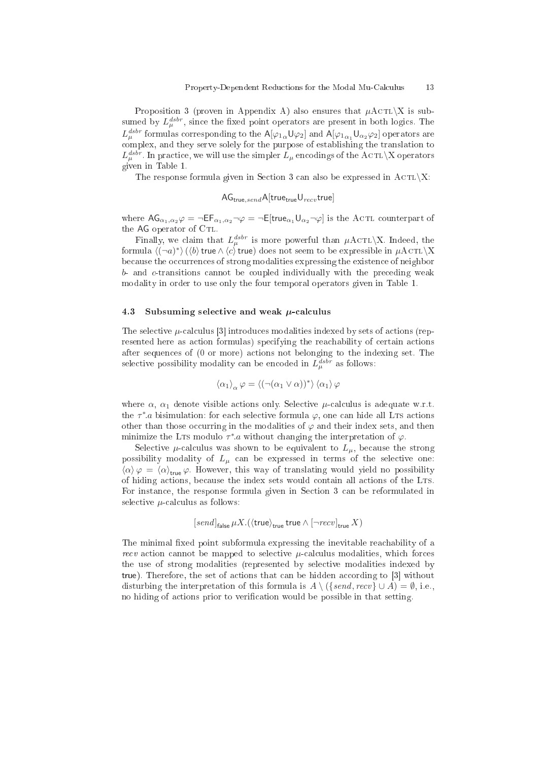Proposition 3 (proven in Appendix A) also ensures that  $\mu$ ACTL $\X$  is subsumed by  $L_{\mu}^{dstr}$ , since the fixed point operators are present in both logics. The  $L_\mu^{dsbr}$  formulas corresponding to the  $\mathsf{A}[\varphi_{1\,\alpha}\mathsf{U}\varphi_2]$  and  $\mathsf{A}[\varphi_{1\,\alpha_1}\mathsf{U}_{\alpha_2}\varphi_2]$  operators are omplex, and they serve solely for the purpose of establishing the translation to  $L_\mu^{dsbr}$ . In practice, we will use the simpler  $L_\mu$  encodings of the ACTL\X operators given in Table 1.

The response formula given in Section 3 can also be expressed in  $\text{ACTL}\X$ :

 $AG_{true,send}$ A[true<sub>true</sub>U<sub>recv</sub> true]

where  $AG_{\alpha_1,\alpha_2}\varphi = \neg EF_{\alpha_1,\alpha_2}\neg\varphi = \neg E[true_{\alpha_1}U_{\alpha_2}\neg\varphi]$  is the ACTL counterpart of the AG operator of CTL.

Finally, we claim that  $L_{\mu}^{dstr}$  is more powerful than  $\mu$ ACTL\X. Indeed, the formula  $\langle (-a)^*\rangle\, (\langle b\rangle$  true $\wedge\, \langle c\rangle$  true) does not seem to be expressible in  $\mu\mathrm{ACTL}\backslash \mathrm{X}$ because the occurrences of strong modalities expressing the existence of neighbor b- and c-transitions annot be oupled individually with the pre
eding weak modality in order to use only the four temporal operators given in Table 1.

#### 4.3Subsuming selective and weak  $\mu$ -calculus

The selective  $\mu$ -calculus [3] introduces modalities indexed by sets of actions (represented here as action formulas) specifying the reachability of certain actions after sequen
es of (0 or more) a
tions not belonging to the indexing set. The selective possibility modality can be encoded in  $L_{\mu}^{dstr}$  as follows:

$$
\left<\alpha_1\right>_\alpha \varphi = \left<\left(\neg(\alpha_1 \vee \alpha)\right)^*\right> \left<\alpha_1\right>\varphi
$$

where  $\alpha$ ,  $\alpha_1$  denote visible actions only. Selective  $\mu$ -calculus is adequate w.r.t. the  $\tau^*$  a bisimulation: for each selective formula  $\varphi$ , one can hide all LTs actions other than those occurring in the modalities of  $\varphi$  and their index sets, and then minimize the LTs modulo  $\tau^*$ .a without changing the interpretation of  $\varphi$ .

Selective  $\mu$ -calculus was shown to be equivalent to  $L_{\mu}$ , because the strong possibility modality of  $L_{\mu}$  can be expressed in terms of the selective one:  $\langle \alpha \rangle \varphi = \langle \alpha \rangle_{\text{true}} \varphi$ . However, this way of translating would yield no possibility of hiding actions, because the index sets would contain all actions of the LTs. For instance, the response formula given in Section 3 can be reformulated in selective  $\mu$ -calculus as follows:

$$
[send]_{\text{false}} \mu X. (\langle \text{true} \rangle_{\text{true}} \text{true} \wedge [\neg recv]_{\text{true}} X)
$$

The minimal fixed point subformula expressing the inevitable reachability of a recv action cannot be mapped to selective  $\mu$ -calculus modalities, which forces the use of strong modalities (represented by sele
tive modalities indexed by true). Therefore, the set of actions that can be hidden according to [3] without disturbing the interpretation of this formula is  $A \setminus (\{send, recv\} \cup A) = \emptyset$ , i.e., no hiding of actions prior to verification would be possible in that setting.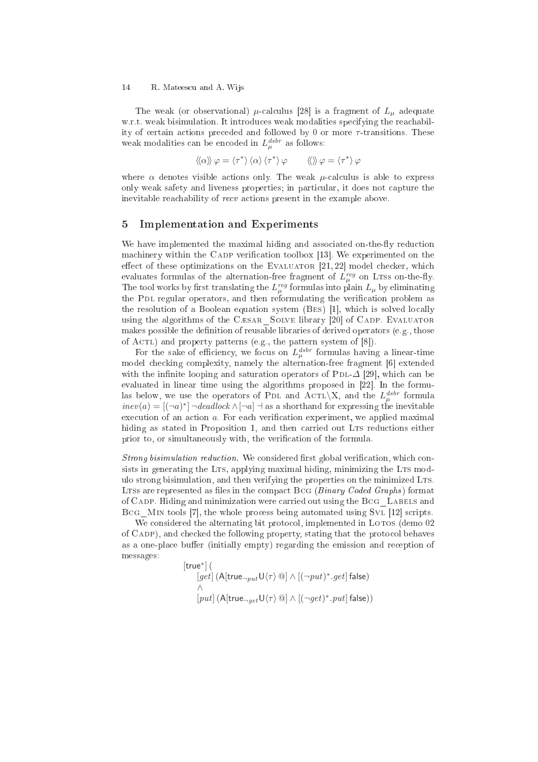#### 14 R. Mateescu and A. Wijs

The weak (or observational)  $\mu$ -calculus [28] is a fragment of  $L_{\mu}$  adequate w.r.t. weak bisimulation. It introduces weak modalities specifying the reachability of certain actions preceded and followed by 0 or more  $\tau$ -transitions. These weak modalities can be encoded in  $L_{\mu}^{dsbr}$  as follows:

$$
\langle \langle \alpha \rangle \rangle \varphi = \langle \tau^* \rangle \langle \alpha \rangle \langle \tau^* \rangle \varphi \qquad \langle \langle \rangle \rangle \varphi = \langle \tau^* \rangle \varphi
$$

where  $\alpha$  denotes visible actions only. The weak  $\mu$ -calculus is able to express only weak safety and liveness properties; in particular, it does not capture the inevitable reachability of recv actions present in the example above.

### 5 Implementation and Experiments

We have implemented the maximal hiding and associated on-the-fly reduction machinery within the CADP verification toolbox [13]. We experimented on the effect of these optimizations on the EVALUATOR  $[21, 22]$  model checker, which evaluates formulas of the alternation-free fragment of  $L_{\mu}^{reg}$  on LTss on-the-fly. The tool works by first translating the  $L^{reg}_{\mu}$  formulas into plain  $L_{\mu}$  by eliminating the PDL regular operators, and then reformulating the verification problem as the resolution of a Boolean equation system  $(BES)$  [1], which is solved locally using the algorithms of the CÆSAR SOLVE library [20] of CADP. EVALUATOR makes possible the definition of reusable libraries of derived operators (e.g., those of ACTL) and property patterns (e.g., the pattern system of  $[8]$ ).

For the sake of efficiency, we focus on  $L_{\mu}^{dstr}$  formulas having a linear-time model checking complexity, namely the alternation-free fragment [6] extended with the infinite looping and saturation operators of PDL- $\Delta$  [29], which can be evaluated in linear time using the algorithms proposed in [22]. In the formulas below, we use the operators of PDL and ACTL\X, and the  $L_{\mu}^{dstr}$  formula  $\text{inev}(a) = [(-a)^*] \neg \text{deadlock} \wedge [\neg a] \dashv \text{as a shorthand for expressing the inevitable}$ execution of an action a. For each verification experiment, we applied maximal hiding as stated in Proposition 1, and then carried out LTS reductions either prior to, or simultaneously with, the verification of the formula.

Strong bisimulation reduction. We considered first global verification, which consists in generating the LTS, applying maximal hiding, minimizing the LTS modulo strong bisimulation, and then verifying the properties on the minimized LTs. LTSs are represented as files in the compact  $BCG$  (*Binary Coded Graphs*) format of CADP. Hiding and minimization were carried out using the BCG LABELS and BCG MIN tools [7], the whole process being automated using SvL  $[12]$  scripts.

We considered the alternating bit protocol, implemented in LOTOS (demo 02) of Cadp), and he
ked the following property, stating that the proto
ol behaves as a one-place buffer (initially empty) regarding the emission and reception of messages:

[true<sup>∗</sup>

$$
\begin{array}{l} \mathsf{rule}^*](\\ \textcolor{gray}{[get]} \textcolor{gray}{(A[\mathsf{true}_{\neg put} \mathsf{U}\langle \tau \rangle \textcolor{gray}{\textcircled{a}}] \wedge \textcolor{gray}{[(-put)^*}.get]\mathsf{false})}\\ \wedge \\ \textcolor{gray}{[put]} \textcolor{gray}{(A[\mathsf{true}_{\neg get} \mathsf{U}\langle \tau \rangle \textcolor{gray}{\textcircled{a}}] \wedge \textcolor{gray}{[(-get)^*}.put]\mathsf{false}))}\end{array}
$$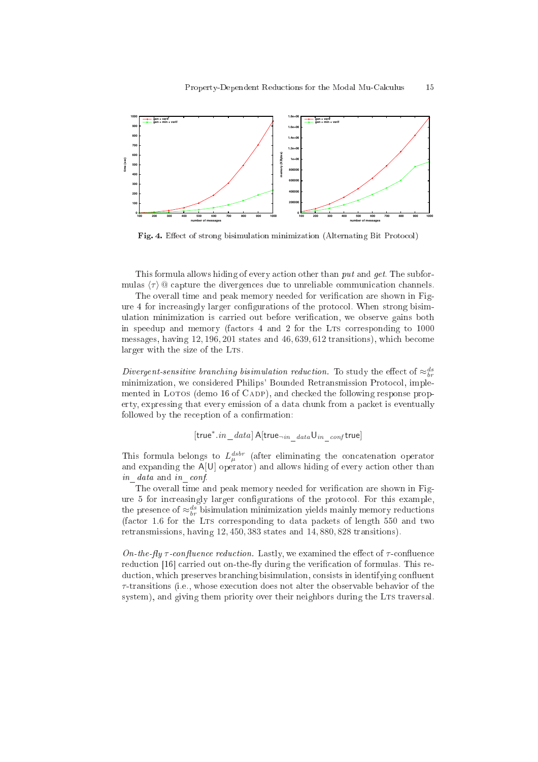

Fig. 4. Effect of strong bisimulation minimization (Alternating Bit Protocol)

This formula allows hiding of every action other than *put* and *get*. The subformulas  $\langle \tau \rangle$  @ capture the divergences due to unreliable communication channels.

The overall time and peak memory needed for verification are shown in Figure 4 for increasingly larger configurations of the protocol. When strong bisimulation minimization is carried out before verification, we observe gains both in speedup and memory (factors 4 and 2 for the LTS corresponding to 1000 messages, having 12, 196, 201 states and 46, 639, 612 transitions), whi
h be
ome larger with the size of the LTS.

Divergent-sensitive branching bisimulation reduction. To study the effect of  $\approx_{br}^{ds}$ minimization, we considered Philips' Bounded Retransmission Protocol, implemented in LOTOS (demo 16 of CADP), and checked the following response property, expressing that every emission of a data chunk from a packet is eventually followed by the reception of a confirmation:

$$
[\mathsf{true}^*.in\_data]\,\mathsf{A}[\mathsf{true}_{\neg in\_data}\mathsf{U}_{in\_conf}\,\mathsf{true}]
$$

This formula belongs to  $L_{\mu}^{dstr}$  (after eliminating the concatenation operator and expanding the A[U] operator) and allows hiding of every action other than in data and in conf.

The overall time and peak memory needed for verification are shown in Figure 5 for increasingly larger configurations of the protocol. For this example, the presence of  $\approx_{br}^{ds}$  bisimulation minimization yields mainly memory reductions (factor 1.6 for the LTS corresponding to data packets of length 550 and two retransmissions, having 12, 450, 383 states and 14, 880, 828 transitions).

On-the-flu  $\tau$ -confluence reduction. Lastly, we examined the effect of  $\tau$ -confluence reduction [16] carried out on-the-fly during the verification of formulas. This reduction, which preserves branching bisimulation, consists in identifying confluent  $\tau$ -transitions (i.e., whose execution does not alter the observable behavior of the system), and giving them priority over their neighbors during the LTs traversal.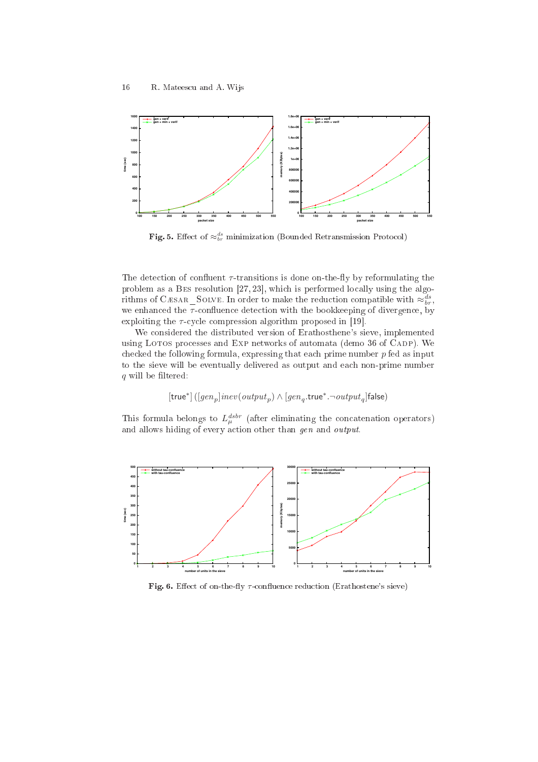

Fig. 5. Effect of  $\approx_{br}^{ds}$  minimization (Bounded Retransmission Protocol)

The detection of confluent  $\tau$ -transitions is done on-the-fly by reformulating the problem as a BES resolution  $[27, 23]$ , which is performed locally using the algorithms of CÆSAR\_SOLVE. In order to make the reduction compatible with  $\approx_{br}^{ds},$ we enhanced the  $\tau$ -confluence detection with the bookkeeping of divergence, by exploiting the  $\tau$ -cycle compression algorithm proposed in [19].

We onsidered the distributed version of Erathosthene's sieve, implemented using LOTOS processes and EXP networks of automata (demo 36 of CADP). We checked the following formula, expressing that each prime number  $p$  fed as input to the sieve will be eventually delivered as output and each non-prime number  $q$  will be filtered:

$$
[\mathsf{true}^*] \left( [gen_p] \mathit{inev}(\mathit{output}_p) \wedge [gen_q.\mathsf{true}^*.\neg\mathit{output}_q] \mathsf{false} \right)
$$

This formula belongs to  $L_{\mu}^{dstr}$  (after eliminating the concatenation operators) and allows hiding of every action other than gen and output.



Fig. 6. Effect of on-the-fly  $\tau$ -confluence reduction (Erathostene's sieve)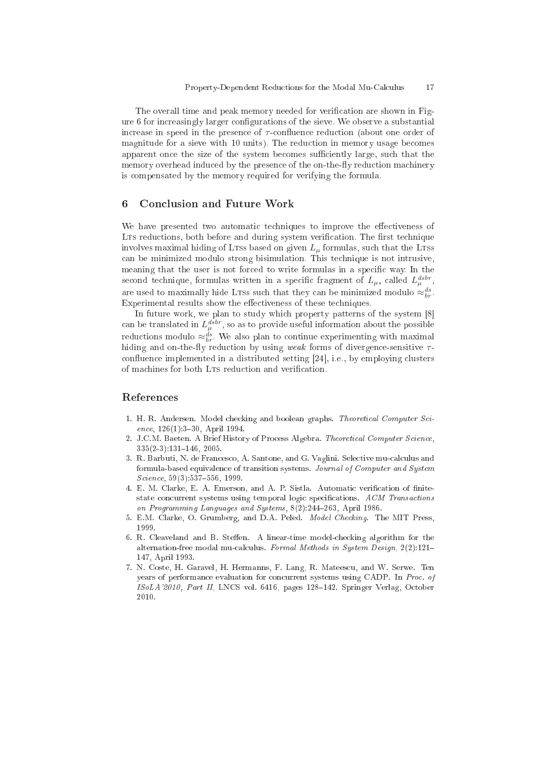The overall time and peak memory needed for verification are shown in Figure 6 for increasingly larger configurations of the sieve. We observe a substantial increase in speed in the presence of  $\tau$ -confluence reduction (about one order of magnitude for a sieve with 10 units). The reduction in memory usage becomes apparent once the size of the system becomes sufficiently large, such that the memory overhead induced by the presence of the on-the-fly reduction machinery is ompensated by the memory required for verifying the formula.

### 6 Con
lusion and Future Work

We have presented two automatic techniques to improve the effectiveness of LTS reductions, both before and during system verification. The first technique involves maximal hiding of LTss based on given  $L<sub>\mu</sub>$  formulas, such that the LTss an be minimized modulo strong bisimulation. This te
hnique is not intrusive, meaning that the user is not forced to write formulas in a specific way. In the second technique, formulas written in a specific fragment of  $L_{\mu}$ , called  $L_{\mu}^{dsbr}$ , are used to maximally hide LTss such that they can be minimized modulo  $\approx_{br}^{ds}$ . Experimental results show the effectiveness of these techniques.

In future work, we plan to study which property patterns of the system  $[8]$ can be translated in  $L_{\mu}^{dstr}$ , so as to provide useful information about the possible reductions modulo  $\approx_{br}^{ds}$ . We also plan to continue experimenting with maximal hiding and on-the-fly reduction by using weak forms of divergence-sensitive  $\tau$ confluence implemented in a distributed setting  $[24]$ , i.e., by employing clusters of machines for both LTS reduction and verification.

### Referen
es

- 1. H. R. Andersen. Model checking and boolean graphs. Theoretical Computer Science, 126(1):3-30, April 1994.
- 2. J.C.M. Baeten. A Brief History of Process Algebra. Theoretical Computer Science,  $335(2-3):131-146, 2005.$
- 3. R. Barbuti, N. de Francesco, A. Santone, and G. Vaglini. Selective mu-calculus and formula-based equivalen
e of transition systems. Journal of Computer and System Science, 59(3):537-556, 1999.
- 4. E. M. Clarke, E. A. Emerson, and A. P. Sistla. Automatic verification of finitestate concurrent systems using temporal logic specifications. ACM Transactions on Programming Languages and Systems,  $8(2):244-263$ , April 1986.
- 5. E.M. Clarke, O. Grumberg, and D.A. Peled. Model Che
king. The MIT Press, 1999.
- 6. R. Cleaveland and B. Steffen. A linear-time model-checking algorithm for the alternation-free modal mu-calculus. Formal Methods in System Design, 2(2):121-147, April 1993.
- 7. N. Coste, H. Garavel, H. Hermanns, F. Lang, R. Matees
u, and W. Serwe. Ten years of performance evaluation for concurrent systems using CADP. In Proc. of ISoLA'2010, Part II, LNCS vol. 6416, pages 128-142. Springer Verlag, October 2010.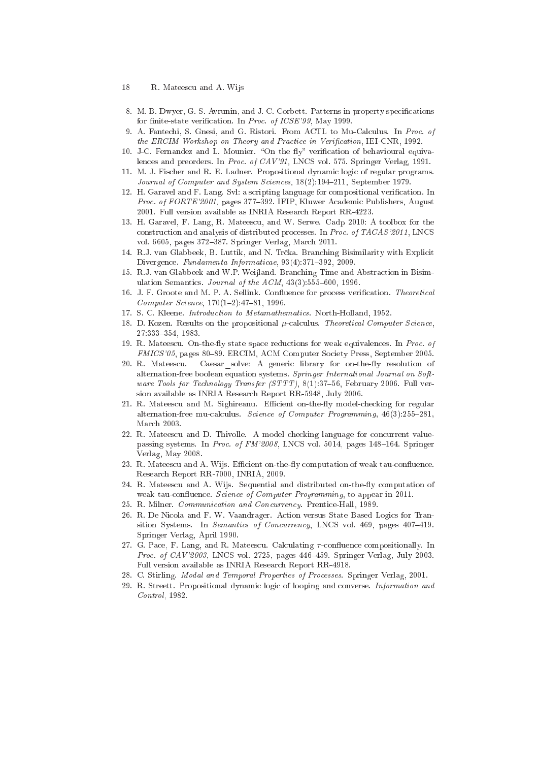- 8. M. B. Dwyer, G. S. Avrunin, and J. C. Corbett. Patterns in property specifications for finite-state verification. In Proc. of ICSE'99, May 1999.
- 9. A. Fantechi, S. Gnesi, and G. Ristori. From ACTL to Mu-Calculus. In Proc. of the ERCIM Workshop on Theory and Practice in Verification, IEI-CNR, 1992.
- 10. J-C. Fernandez and L. Mounier. "On the fly" verification of behavioural equivalences and preorders. In Proc. of CAV'91, LNCS vol. 575. Springer Verlag, 1991.
- 11. M. J. Fischer and R. E. Ladner. Propositional dynamic logic of regular programs. Journal of Computer and System Sciences, 18(2):194-211, September 1979.
- 12. H. Garavel and F. Lang. Svl: a scripting language for compositional verification. In Proc. of FORTE'2001, pages 377-392. IFIP, Kluwer Academic Publishers, August 2001. Full version available as INRIA Resear
h Report RR-4223.
- 13. H. Garavel, F. Lang, R. Matees
u, and W. Serwe. Cadp 2010: A toolbox for the construction and analysis of distributed processes. In Proc. of TACAS'2011, LNCS vol. 6605, pages 372-387. Springer Verlag, March 2011.
- 14. R.J. van Glabbeek, B. Luttik, and N. Trčka. Branching Bisimilarity with Explicit Divergence. Fundamenta Informaticae, 93(4):371-392, 2009.
- 15. R.J. van Glabbeek and W.P. Weijland. Bran
hing Time and Abstra
tion in Bisimulation Semantics. Journal of the  $ACM$ ,  $43(3):555-600$ , 1996.
- 16. J. F. Groote and M. P. A. Sellink. Confluence for process verification. Theoretical Computer Science, 170(1-2):47-81, 1996.
- 17. S. C. Kleene. Introduction to Metamathematics. North-Holland, 1952.
- 18. D. Kozen. Results on the propositional  $\mu$ -calculus. Theoretical Computer Science, 27:333-354, 1983. 27:333354, 1983.
- 19. R. Mateescu. On-the-fly state space reductions for weak equivalences. In Proc. of FMICS'05, pages 80–89. ERCIM, ACM Computer Society Press, September 2005.
- 20. R. Mateescu. Caesar solve: A generic library for on-the-fly resolution of alternation-free boolean equation systems. Springer International Journal on Software Tools for Technology Transfer (STTT), 8(1):37-56, February 2006. Full version available as INRIA Resear
h Report RR-5948, July 2006.
- 21. R. Mateescu and M. Sighireanu. Efficient on-the-fly model-checking for regular alternation-free mu-calculus. Science of Computer Programming,  $46(3):255-281$ , March 2003.
- 22. R. Mateescu and D. Thivolle. A model checking language for concurrent valuepassing systems. In *Proc. of FM'2008*, LNCS vol. 5014, pages 148-164. Springer Verlag, May 2008.
- 23. R. Mateescu and A. Wijs. Efficient on-the-fly computation of weak tau-confluence. Resear
h Report RR-7000, INRIA, 2009.
- 24. R. Mateescu and A. Wijs. Sequential and distributed on-the-fly computation of weak tau-confluence. Science of Computer Programming, to appear in 2011.
- 25. R. Milner. Communication and Concurrency. Prentice-Hall, 1989.
- 26. R. De Nicola and F. W. Vaandrager. Action versus State Based Logics for Transition Systems. In Semantics of Concurrency, LNCS vol. 469, pages 407-419. Springer Verlag, April 1990.
- 27. G. Pace, F. Lang, and R. Mateescu. Calculating  $\tau$ -confluence compositionally. In Proc. of CAV'2003, LNCS vol. 2725, pages 446-459. Springer Verlag, July 2003. Full version available as INRIA Resear
h Report RR-4918.
- 28. C. Stirling. Modal and Temporal Properties of Pro
esses. Springer Verlag, 2001.
- 29. R. Streett. Propositional dynamic logic of looping and converse. *Information and* Control, 1982.

<sup>18</sup> R. Mateescu and A. Wijs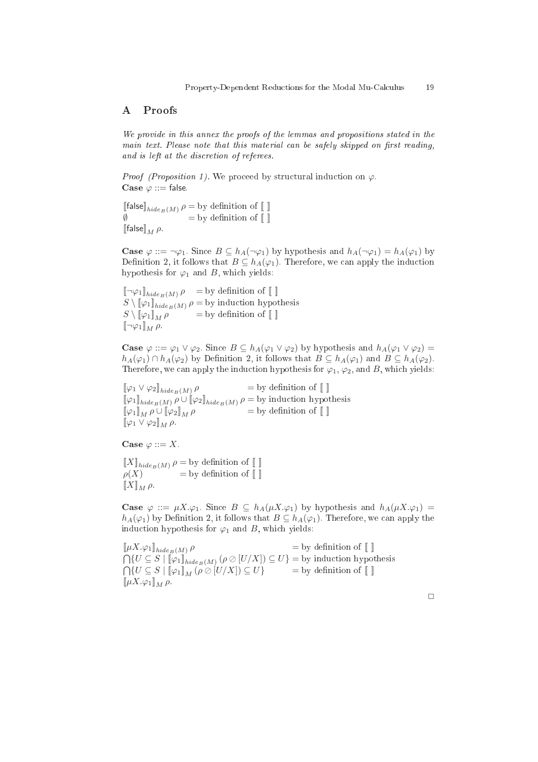## A Proofs

We provide in this annex the proofs of the lemmas and propositions stated in the main text. Please note that this material can be safely skipped on first reading, and is left at the dis
retion of referees.

*Proof (Proposition 1)*. We proceed by structural induction on  $\varphi$ . Case  $\varphi ::=$  false.

[[false] $_{hidden(M)} \rho = \text{by definition of } [$  $\emptyset$  = by definition of  $\llbracket \; \rrbracket$  $\llbracket$ false $\rrbracket_M$   $\rho$ .

**Case**  $\varphi ::= \neg \varphi_1$ . Since  $B \subseteq h_A(\neg \varphi_1)$  by hypothesis and  $h_A(\neg \varphi_1) = h_A(\varphi_1)$  by Definition 2, it follows that  $B \subseteq h_A(\varphi_1)$ . Therefore, we can apply the induction hypothesis for  $\varphi_1$  and B, which yields:

 $[\![\neg \varphi_1]\!]_{hidden(M)}$   $\rho$  = by definition of  $[\![\ ]\!]$  $S \setminus \llbracket \varphi_1 \rrbracket_{hidden}$   $\rho =$  by induction hypothesis  $S \setminus [\![\varphi_1]\!]_M \rho$  = by definition of  $[\![\ ]\!]$  $[\![\neg \varphi_1]\!]_M \rho.$ 

**Case**  $\varphi ::= \varphi_1 \vee \varphi_2$ . Since  $B \subseteq h_A(\varphi_1 \vee \varphi_2)$  by hypothesis and  $h_A(\varphi_1 \vee \varphi_2) =$  $h_A(\varphi_1) \cap h_A(\varphi_2)$  by Definition 2, it follows that  $B \subseteq h_A(\varphi_1)$  and  $B \subseteq h_A(\varphi_2)$ . Therefore, we can apply the induction hypothesis for  $\varphi_1$ ,  $\varphi_2$ , and B, which yields:

 $[\![\varphi_1 \vee \varphi_2]\!]_{hidden(M)}$   $\rho$  $=$  by definition of  $\llbracket \ \rrbracket$  $[\![\varphi_1]\!]_{hide_B(M)}$   $\rho \cup [\![\varphi_2]\!]_{hide_B(M)}$   $\rho =$  by induction hypothesis  $[\![\varphi_1]\!]_M \rho \cup [\![\varphi_2]\!]_M \rho$  = by definition of  $[\![]$  $[\![\varphi_1 \vee \varphi_2]\!]_M \rho.$ 

Case  $\varphi ::= X$ .

 $\llbracket X \rrbracket_{hide_B(M)}$   $\rho =$  by definition of  $\llbracket \ \rrbracket$  $\rho(X)$  = by definition of  $\llbracket \ \rrbracket$  $\llbracket X \rrbracket_M \rho.$ 

**Case**  $\varphi$  ::=  $\mu X.\varphi_1$ . Since  $B \subseteq h_A(\mu X.\varphi_1)$  by hypothesis and  $h_A(\mu X.\varphi_1)$  =  $h_A(\varphi_1)$  by Definition 2, it follows that  $B \subseteq h_A(\varphi_1)$ . Therefore, we can apply the induction hypothesis for  $\varphi_1$  and B, which yields:

 $[\![\mu X.\varphi_1]\!]_{hidden(M)}$   $\rho$  $=$  by definition of  $\llbracket \ \rrbracket$  $\bigcap \{U\subseteq S\mid \llbracket \varphi_1 \rrbracket_{hidden\; (M)} \: (\rho \oslash [U/X]) \subseteq U\} = \text{by induction hypothesis}$  $\bigcap \{U \subseteq S \mid [\![\varphi_1]\!]_M (\rho \oslash [U/X]) \subseteq U\}$  = by definition of  $[\![\;]\!]$  $[\![\mu X.\varphi_1]\!]_M \rho.$ 

 $\Box$ 

 $19$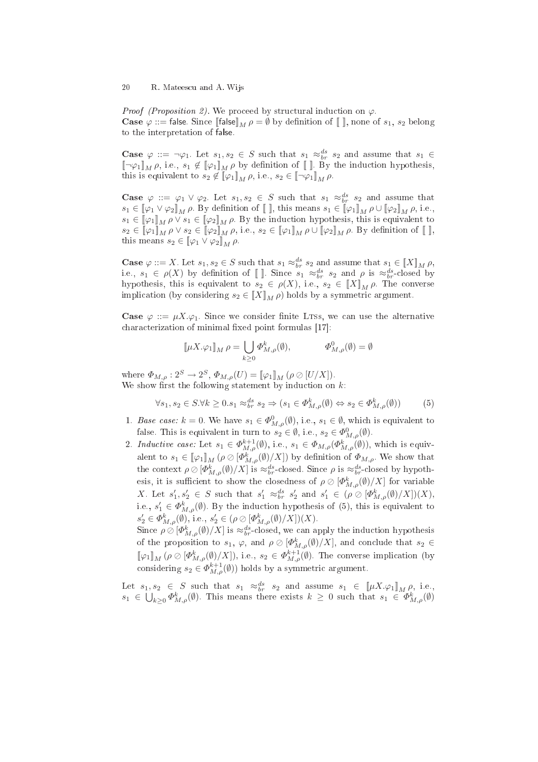*Proof (Proposition 2)*. We proceed by structural induction on  $\varphi$ . **Case**  $\varphi$  ::= false. Since  $[\![\mathsf{false}]\!]_M \rho = \emptyset$  by definition of  $[\![\ ]\!]$ , none of  $s_1, s_2$  belong to the interpretation of false.

**Case**  $\varphi$  ::=  $\neg \varphi_1$ . Let  $s_1, s_2 \in S$  such that  $s_1 \approx_{br}^{ds} s_2$  and assume that  $s_1 \in$  $[\![\neg \varphi_1]\!]_M \rho$ , i.e.,  $s_1 \notin [\![\varphi_1]\!]_M \rho$  by definition of  $[\![\ ]\!]$ . By the induction hypothesis, this is equivalent to  $s_2 \notin \llbracket \varphi_1 \rrbracket_M \rho$ , i.e.,  $s_2 \in \llbracket \neg \varphi_1 \rrbracket_M \rho$ .

**Case**  $\varphi$  ::=  $\varphi_1 \vee \varphi_2$ . Let  $s_1, s_2 \in S$  such that  $s_1 \approx_{br}^{ds} s_2$  and assume that  $s_1 \in [\![\varphi_1 \vee \varphi_2]\!]_M$   $\rho$ . By definition of  $[\![\ ]\!]$ , this means  $s_1 \in [\![\varphi_1]\!]_M$   $\rho \cup [\![\varphi_2]\!]_M$   $\rho$ , i.e.,  $s_1 \in \llbracket \varphi_1 \rrbracket_M \rho \vee s_1 \in \llbracket \varphi_2 \rrbracket_M \rho$ . By the induction hypothesis, this is equivalent to  $s_2 \in \llbracket \varphi_1 \rrbracket_M \, \rho \vee s_2 \in \llbracket \varphi_2 \rrbracket_M \, \rho, \text{ i.e., } s_2 \in \llbracket \varphi_1 \rrbracket_M \, \rho \cup \llbracket \varphi_2 \rrbracket_M \, \rho. \text{ By definition of } \llbracket \rrbracket,$ this means  $s_2 \in [\![\varphi_1 \vee \varphi_2]\!]_M \rho$ .

**Case**  $\varphi ::= X$ . Let  $s_1, s_2 \in S$  such that  $s_1 \approx_{br}^{ds} s_2$  and assume that  $s_1 \in [X]_M \rho$ , i.e.,  $s_1 \in \rho(X)$  by definition of []. Since  $s_1 \approx_{br}^{ds} s_2$  and  $\rho$  is  $\approx_{br}^{ds}$ -closed by hypothesis, this is equivalent to  $s_2 \in \rho(X)$ , i.e.,  $s_2 \in [X]_M \rho$ . The converse implication (by considering  $s_2 \in [X]_M \rho$ ) holds by a symmetric argument.

**Case**  $\varphi ::= \mu X.\varphi_1$ . Since we consider finite LTSs, we can use the alternative characterization of minimal fixed point formulas [17]:

$$
\llbracket \mu X.\varphi_1 \rrbracket_M \, \rho = \bigcup_{k \ge 0} \varPhi^k_{M,\rho}(\emptyset), \qquad \qquad \varPhi^0_{M,\rho}(\emptyset) = \emptyset
$$

where  $\Phi_{M,\rho}: 2^S \to 2^S$ ,  $\Phi_{M,\rho}(U) = [\![\varphi_1]\!]_M$   $(\rho \oslash [U/X])$ . We show first the following statement by induction on  $k$ :

$$
\forall s_1, s_2 \in S. \forall k \ge 0 \, s_1 \approx_{br}^{ds} s_2 \Rightarrow (s_1 \in \Phi_{M,\rho}^k(\emptyset) \Leftrightarrow s_2 \in \Phi_{M,\rho}^k(\emptyset)) \tag{5}
$$

- 1. Base case:  $k = 0$ . We have  $s_1 \in \Phi^0_{M,\rho}(\emptyset)$ , i.e.,  $s_1 \in \emptyset$ , which is equivalent to false. This is equivalent in turn to  $s_2 \in \emptyset$ , i.e.,  $s_2 \in \Phi^0_{M,\rho}(\emptyset)$ .
- 2. Inductive case: Let  $s_1 \in \Phi_{M,\rho}^{k+1}(\emptyset)$ , i.e.,  $s_1 \in \Phi_{M,\rho}(\Phi_{M,\rho}^{k}(\emptyset))$ , which is equivalent to  $s_1 \in [\![\varphi_1]\!]_M (\rho \oslash [\Phi^k_{M,\rho}(\emptyset)/X])$  by definition of  $\Phi_{M,\rho}$ . We show that the context  $\rho \oslash [\Phi^k_{M,\rho}(\emptyset)/X]$  is  $\approx_{br}^{ds}$ -closed. Since  $\rho$  is  $\approx_{br}^{ds}$ -closed by hypothesis, it is sufficient to show the closedness of  $\rho \oslash [\Phi^k_{M,\rho}(\emptyset)/X]$  for variable X. Let  $s'_1, s'_2 \in S$  such that  $s'_1 \approx_{br}^{ds} s'_2$  and  $s'_1 \in (\rho \oslash [\Phi^k_{M,\rho}(\emptyset)/X])(X)$ , i.e.,  $s'_1 \in \Phi_{M,\rho}^k(\emptyset)$ . By the induction hypothesis of (5), this is equivalent to  $s_2' \in \Phi_{M,\rho}^k(\emptyset)$ , i.e.,  $s_2' \in (\rho \oslash [\Phi_{M,\rho}^k(\emptyset)/X])(X)$ .

Since  $\rho \oslash [\Phi^k_{M,\rho}(\emptyset)/X]$  is  $\approx_{br}^{ds}$ -closed, we can apply the induction hypothesis of the proposition to  $s_1, \varphi$ , and  $\rho \oslash [\Phi^k_{M,\rho}(\emptyset)/X]$ , and conclude that  $s_2 \in$  $[\![\varphi_1]\!]_M (\rho \oslash [\Phi^k_{M,\rho}(\emptyset)/X]),$  i.e.,  $s_2 \in \Phi^{k+1}_{M,\rho}(\emptyset)$ . The converse implication (by considering  $s_2 \in \Phi_{M,\rho}^{k+1}(\emptyset)$  holds by a symmetric argument.

Let  $s_1, s_2 \in S$  such that  $s_1 \approx_{br}^{ds} s_2$  and assume  $s_1 \in [\![\mu X.\varphi_1]\!]_M \rho$ , i.e.,  $s_1 \in \bigcup_{k \geq 0} \Phi_{M,\rho}^k(\emptyset)$ . This means there exists  $k \geq 0$  such that  $s_1 \in \Phi_{M,\rho}^k(\emptyset)$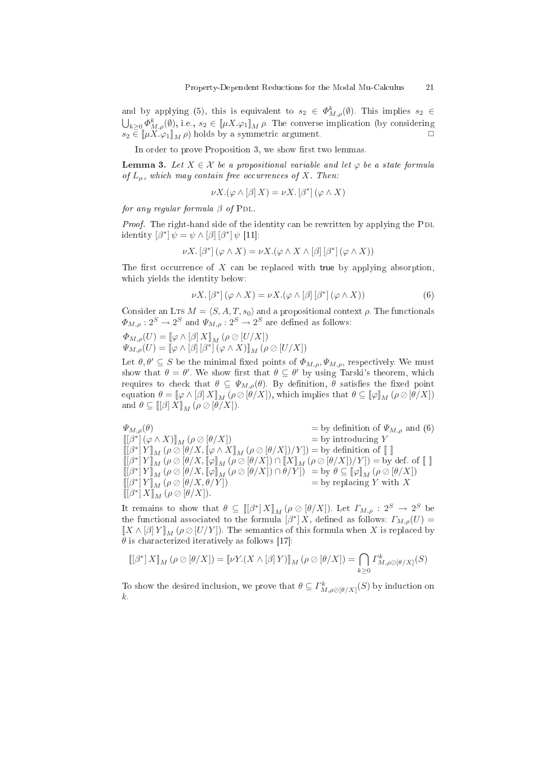and by applying (5), this is equivalent to  $s_2 \in \Phi_{M,\rho}^k(\emptyset)$ . This implies  $s_2 \in$  $\bigcup_{k\geq 0} \Phi^k_{M,\rho}(\emptyset)$ , i.e.,  $s_2 \in [\![\mu X.\varphi_1]\!]_M$   $\rho$ . The converse implication (by considering  $s_2 \in [\![\mu X \cdot \varphi_1]\!]_M \rho$  holds by a symmetric argument.

In order to prove Proposition 3, we show first two lemmas.

**Lemma 3.** Let  $X \in \mathcal{X}$  be a propositional variable and let  $\varphi$  be a state formula of  $L_{\mu}$ , which may contain free occurrences of X. Then:

$$
\nu X.(\varphi \wedge [\beta] X) = \nu X. [\beta^*] (\varphi \wedge X)
$$

for any regular formula  $\beta$  of PDL.

Proof. The right-hand side of the identity can be rewritten by applying the PDL identity  $[\beta^*] \psi = \psi \wedge [\beta] [\beta^*] \psi$  [11]:

$$
\nu X. [\beta^*] (\varphi \wedge X) = \nu X. (\varphi \wedge X \wedge [\beta] [\beta^*] (\varphi \wedge X))
$$

The first occurrence of X can be replaced with true by applying absorption, which yields the identity below:

$$
\nu X. [\beta^*] (\varphi \wedge X) = \nu X. (\varphi \wedge [\beta] [\beta^*] (\varphi \wedge X))
$$
(6)

Consider an LTs  $M = \langle S, A, T, s_0 \rangle$  and a propositional context  $\rho$ . The functionals  $\Phi_{M,\rho}: 2^S \to 2^S$  and  $\Psi_{M,\rho}: 2^S \to 2^S$  are defined as follows:

$$
\Phi_{M,\rho}(U) = [\![\varphi \wedge [\beta] \, X]\!]_M (\rho \oslash [U/X])
$$
  

$$
\Psi_{M,\rho}(U) = [\![\varphi \wedge [\beta] \, [\beta^*] \, (\varphi \wedge X)]\!]_M (\rho \oslash [U/X])
$$

Let  $\theta, \theta' \subseteq S$  be the minimal fixed points of  $\Phi_{M,\rho}, \Psi_{M,\rho}$ , respectively. We must show that  $\theta = \theta'$ . We show first that  $\theta \subseteq \theta'$  by using Tarski's theorem, which requires to check that  $\theta \subseteq \Psi_{M,\rho}(\theta)$ . By definition,  $\theta$  satisfies the fixed point equation  $\theta = [\varphi \wedge [\beta] X]_M (\rho \otimes [\theta/X])$ , which implies that  $\theta \subseteq [\varphi]_M (\rho \otimes [\theta/X])$ and  $\theta \subseteq [[\beta]\tilde{X}]_M$   $(\rho \oslash [\theta]\tilde{X}])$ .

 $\Psi_{M,\rho}(\theta)$  = by definition of  $\Psi_{M,\rho}$  and (6)  $\llbracket [\beta^*] (\varphi \wedge X) \rrbracket_M (\rho \oslash [\theta/X])$  = by introducing Y  $[\![ [\beta^*]\, Y ]\!]_M$   $(\rho \oslash [\![ \theta / X, [\![ \varphi \wedge X ]\!]_M$   $(\rho \oslash [\![ \theta / X ]\!])/Y ])=$  by definition of  $[\![\ ]\!]$  $\llbracket [\beta^*] \, Y \rrbracket_M \, (\rho \oslash [\theta /X, [\![ \varphi ] \!]_M \, (\rho \oslash [\theta /X]) \cap [\![ X ] \!]_M \, (\rho \oslash [\theta /X]) / Y]) = \text{by def. of} \, [\![ \; ] \!]$  $\llbracket [\beta^*] \, Y \rrbracket_M \, (\rho \oslash [\theta / X, \llbracket \varphi \rrbracket_M \, (\rho \oslash [\theta / X]) \cap \theta / Y]) \ = \mathrm{by} \,\, \theta \subseteq \llbracket \varphi \rrbracket_M \, (\rho \oslash [\theta / X])$  $[[\beta^*] Y]_M (\rho \oslash [\theta/X, \theta/Y])$  = by replacing Y with X  $\llbracket \left[ \beta^* \right] X \rrbracket_M \, (\rho \oslash \lbrack \theta / X \rbrack).$ 

It remains to show that  $\theta \subseteq [[\beta^*] X ]_M (\rho \oslash [\theta / X])$ . Let  $\Gamma_{M,\rho} : 2^S \to 2^S$  be the functional associated to the formula  $\left[\beta^*\right]X$ , defined as follows:  $\Gamma_{M,\rho}(U)$  =  $[[X \wedge [\beta] Y]]_M (\rho \oslash [U/Y])$ . The semantics of this formula when X is replaced by  $\theta$  is characterized iteratively as follows [17]:

$$
\llbracket \left[\beta^*\right] X \rrbracket_M (\rho \oslash [\theta/X]) = \llbracket \nu Y . (X \wedge [\beta] Y) \rrbracket_M (\rho \oslash [\theta/X]) = \bigcap_{k \geq 0} \varGamma^k_{M,\rho \oslash [\theta/X]}(S)
$$

To show the desired inclusion, we prove that  $\theta \subseteq \Gamma^k_{M,\rho\oslash [\theta/X]}(S)$  by induction on k.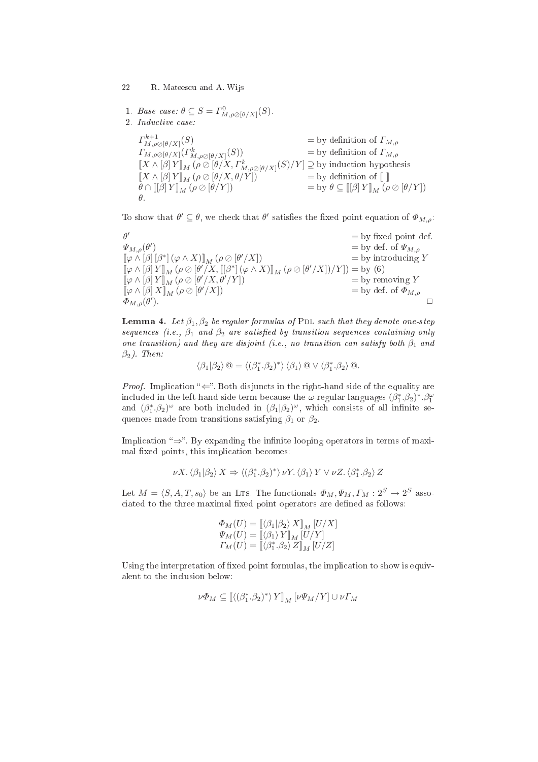22 R. Mateescu and A. Wijs

1. Base case: 
$$
\theta \subseteq S = \Gamma^0_{M,\rho \oslash [\theta/X]}(S)
$$
.

2. Indu
tive ase:

 $\varGamma^{k+1}_{M,\rho\oslash[\theta/X]}$ (S)  $=$  by definition of  $\Gamma_{M,\rho}$  $\Gamma_{M,\rho\emptyset\phi(X)}(\Gamma^k_{M,\rho\emptyset\phi(X)}(S))$  = by definition of  $\Gamma_{M,\rho}$  $[X \wedge [\beta] Y]_M (\rho \oslash [\theta/X, \Gamma^k_{M, \rho \oslash [\theta/X]}(S)/Y] \supseteq$  by induction hypothesis  $\llbracket X \wedge [\beta] Y \rrbracket_M (\rho \oslash [\theta / X, \theta / Y])$  = by definition of  $\llbracket \ \rrbracket$  $\theta \cap [[\beta] Y]_M (\rho \oslash [\theta/Y])$  = by  $\theta \subseteq [[\beta] Y]_M (\rho \oslash [\theta/Y])$ θ.

To show that  $\theta' \subseteq \theta$ , we check that  $\theta'$  satisfies the fixed point equation of  $\Phi_{M,\rho}$ :

θ  $=$  by fixed point def.  $\bar\Psi_{M,\rho}(\theta^\prime)$  $=$  by def. of  $\Psi_{M,\rho}$  $\left[\!\left[ \varphi\wedge\left[\beta\right]\left[ \beta^{\ast}\right]\left( \varphi\wedge X\right)\right]\!\right]_{M}\left( \rho\oslash\left[\theta\right] \right)$  $=$  by introducing Y  $\llbracket \varphi \wedge [\beta] Y \rrbracket_M (\rho \oslash [\theta'/X, [[\beta^*](\varphi \wedge X)]\rrbracket_M (\rho \oslash [\theta'/X])/Y]) = \text{by (6)}$  $[\![\varphi \wedge [\beta] \, Y]\!]_M^{\alpha} (\rho \oslash [\theta'/X, \theta'/Y])$  = by removing Y  $[\![\varphi \wedge [\beta] \, X]\!]_M (\rho \oslash [\theta'/X])$  = by def. of  $\Phi_{M,\rho}$  $\overline{\varPhi}_{M,\rho}(\theta')$ ).  $\Box$ 

**Lemma 4.** Let  $\beta_1, \beta_2$  be regular formulas of PDL such that they denote one-step sequences (i.e.,  $\beta_1$  and  $\beta_2$  are satisfied by transition sequences containing only one transition) and they are disjoint (i.e., no transition can satisfy both  $\beta_1$  and  $\beta_2$ ). Then:

 $\langle \beta_1 | \beta_2 \rangle \, \textcircled{a} = \langle (\beta_1^*, \beta_2)^* \rangle \, \langle \beta_1 \rangle \, \textcircled{a} \vee \langle \beta_1^*, \beta_2 \rangle \, \textcircled{a}.$ 

*Proof.* Implication " $\Leftarrow$ ". Both disjuncts in the right-hand side of the equality are included in the left-hand side term because the  $\omega$ -regular languages  $(\beta_1^*, \beta_2)^*, \beta_1^{\omega}$ and  $(\beta_1^*, \beta_2)^\omega$  are both included in  $(\beta_1|\beta_2)^\omega$ , which consists of all infinite sequences made from transitions satisfying  $\beta_1$  or  $\beta_2$ .

Implication " $\Rightarrow$ ". By expanding the infinite looping operators in terms of maximal fixed points, this implication becomes:

$$
\nu X.\left< \beta_1|\beta_2\right> X\Rightarrow \left< (\beta_1^*.\beta_2)^*\right>\nu Y.\left< \beta_1\right> Y\vee \nu Z.\left< \beta_1^*.\beta_2\right> Z
$$

Let  $M = \langle S, A, T, s_0 \rangle$  be an Lts. The functionals  $\Phi_M, \Psi_M, \Gamma_M : 2^S \to 2^S$  associated to the three maximal fixed point operators are defined as follows:

$$
\Phi_M(U) = \llbracket \langle \beta_1 | \beta_2 \rangle X \rrbracket_M [U/X]
$$
  

$$
\Psi_M(U) = \llbracket \langle \beta_1 \rangle Y \rrbracket_M [U/Y]
$$
  

$$
\Gamma_M(U) = \llbracket \langle \beta_1^*, \beta_2 \rangle Z \rrbracket_M [U/Z]
$$

Using the interpretation of fixed point formulas, the implication to show is equivalent to the in
lusion below:

$$
\nu\varPhi_M\subseteq[\![(\beta_1^*,\!\beta_2)^*\rangle\,Y]\!]_M\,[\nu\Psi_M/Y]\cup\nu\varGamma_M
$$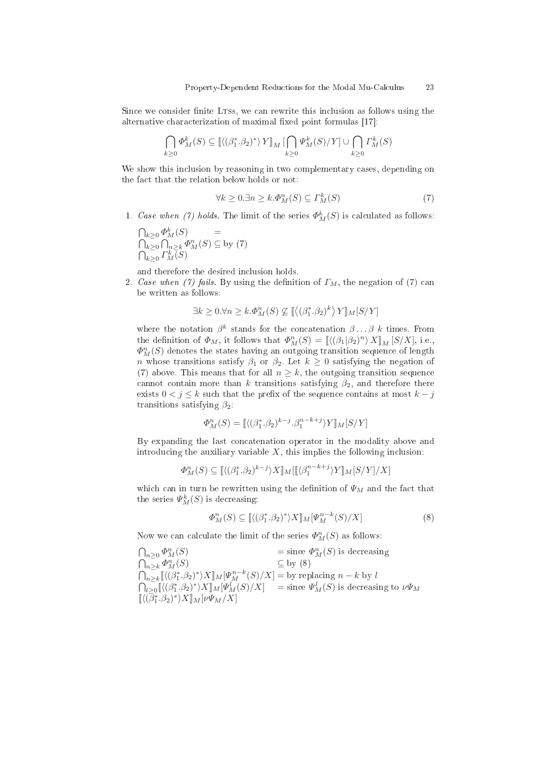Since we consider finite LTSs, we can rewrite this inclusion as follows using the alternative characterization of maximal fixed point formulas [17]:

$$
\bigcap_{k\geq 0} \Phi_M^k(S) \subseteq \left[ \langle (\beta_1^*, \beta_2)^* \rangle Y \right]_M \left[ \bigcap_{k\geq 0} \Psi_M^k(S) / Y \right] \cup \bigcap_{k\geq 0} \Gamma_M^k(S)
$$

We show this inclusion by reasoning in two complementary cases, depending on the fa
t that the relation below holds or not:

$$
\forall k \ge 0. \exists n \ge k. \Phi_M^n(S) \subseteq \varGamma_M^k(S) \tag{7}
$$

1. Case when (7) holds. The limit of the series  $\Phi_M^k(S)$  is calculated as follows:

 $\bigcap_{k\geq 0} \varPhi^k_M(S)$  =  $\bigcap_{k\geq 0} \bigcap_{n\geq k} \Phi_M^n(S) \subseteq$  by (7)  $\bigcap_{k\geq 0} \varGamma_{M}^{k} \overline{(S)}$ 

and therefore the desired in
lusion holds.

2. Case when (7) fails. By using the definition of  $\Gamma_M$ , the negation of (7) can be written as follows:

$$
\exists k \ge 0. \forall n \ge k. \Phi_{M}^{n}(S) \nsubseteq \left[ \left\langle (\beta_{1}^{*}.\beta_{2})^{k} \right\rangle Y \right]_{M}[S/Y]
$$

where the notation  $\beta^k$  stands for the concatenation  $\beta \dots \beta$  k times. From the definition of  $\Phi_M$ , it follows that  $\Phi_M^n(S) = [(\langle \beta_1 | \beta_2 \rangle)^n \rangle X]_M [S/X]$ , i.e.,  $\varPhi_{M}^{n}(S)$  denotes the states having an outgoing transition sequence of length n whose transitions satisfy  $\beta_1$  or  $\beta_2$ . Let  $k \geq 0$  satisfying the negation of (7) above. This means that for all  $n \geq k$ , the outgoing transition sequence cannot contain more than k transitions satisfying  $\beta_2$ , and therefore there exists  $0 < j \leq k$  such that the prefix of the sequence contains at most  $k - j$ transitions satisfying  $\beta_2$ :

$$
\Phi_M^n(S) = \left[ \langle (\beta_1^*, \beta_2)^{k-j} . \beta_1^{n-k+j} \rangle Y \right]_M [S/Y]
$$

By expanding the last concatenation operator in the modality above and introducing the auxiliary variable  $X$ , this implies the following inclusion:

$$
\Phi_M^n(S) \subseteq [\![(\beta_1^*,\beta_2)^{k-j}\rangle X]\!]_M [\![(\beta_1^{n-k+j}\rangle Y]\!]_M [S/Y]/X]
$$

which can in turn be rewritten using the definition of  $\Psi_M$  and the fact that the series  $\mathcal{V}_M^k(S)$  is decreasing:

$$
\Phi_M^n(S) \subseteq \left[ \langle (\beta_1^*, \beta_2)^* \rangle X \right]_M [\Psi_M^{n-k}(S)/X] \tag{8}
$$

Now we can calculate the limit of the series  $\Phi_M^n(S)$  as follows:

$$
\begin{array}{ll}\n\bigcap_{n\geq 0} \Phi_M^n(S) & = \text{since } \Phi_M^n(S) \text{ is decreasing} \\
\bigcap_{n\geq k} \Phi_M^n(S) & \subseteq \text{by (8)} \\
\bigcap_{n\geq k} \left[ \langle (\beta_1^*, \beta_2)^* \rangle X \right]_M [\Psi_M^{n-k}(S)/X] = \text{by replacing } n - k \text{ by } l \\
\bigcap_{l\geq 0} \left[ \langle (\beta_1^*, \beta_2)^* \rangle X \right]_M [\Psi_M^l(S)/X] & = \text{since } \Psi_M^l(S) \text{ is decreasing to } \nu\Psi_M \\
\left[ \langle (\beta_1^*, \beta_2)^* \rangle X \right]_M [\nu\Psi_M/X] & \end{array}
$$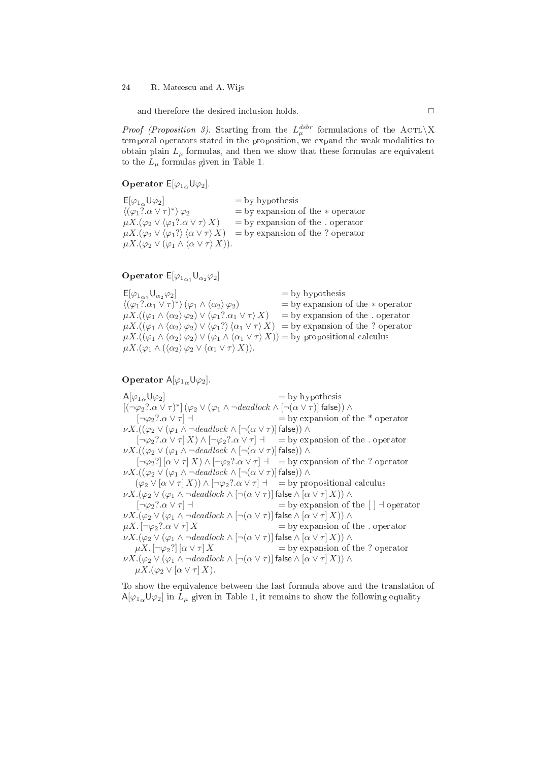#### 24 R. Mateescu and A. Wijs

and therefore the desired inclusion holds.  $\Box$ 

*Proof (Proposition 3)*. Starting from the  $L_{\mu}^{dstr}$  formulations of the ACTL\X temporal operators stated in the proposition, we expand the weak modalities to obtain plain  $L_{\mu}$  formulas, and then we show that these formulas are equivalent to the  $L_{\mu}$  formulas given in Table 1.

**Operator**  $E[\varphi_{1\alpha}\mathsf{U}\varphi_2]$ .

 $E[\varphi_{1\alpha}U\varphi_2]$  = by hypothesis  $\langle (\varphi_1? \alpha \vee \tau)^*$  $\langle (\varphi_1? \alpha \vee \tau)^* \rangle \varphi_2$  = by expansion of the  $*$  operator  $\mu X. (\varphi_2 \vee \langle \varphi_1? \alpha \vee \tau \rangle X)$  = by expansion of the . operator  $=$  by expansion of the . operator  $\mu X.(\varphi_2 \vee \varphi_1? \rangle \langle \alpha \vee \tau \rangle X) =$  by expansion of the ? operator  $\mu X.(\varphi_2 \vee (\varphi_1 \wedge \langle \alpha \vee \tau \rangle X)).$ 

# Operator  $E[\varphi_{1\alpha_1} \mathsf{U}_{\alpha_2}\varphi_2]$ .

 $E[\varphi_{1\alpha_1} \mathsf{U}_{\alpha_2} \varphi_2]$  = by hypothesis  $\langle (\varphi_1? \alpha_1 \vee \tau)^*$  $\lambda =$  by expansion of the  $*$  operator  $\mu X.((\varphi_1 \wedge \langle \alpha_2 \rangle \varphi_2) \vee \langle \varphi_1? \alpha_1 \vee \tau \rangle X) =$  by expansion of the . operator  $\mu X.((\varphi_1 \wedge \langle \alpha_2 \rangle \varphi_2) \vee \langle \varphi_1? \rangle \langle \alpha_1 \vee \tau \rangle X) = \text{by expansion of the ? operator}$  $\mu X.((\varphi_1 \wedge \langle \alpha_2 \rangle \varphi_2) \vee (\varphi_1 \wedge \langle \alpha_1 \vee \tau \rangle X)) = \text{by propositional calculus}$  $\mu X.(\varphi_1 \wedge (\langle \alpha_2 \rangle \varphi_2 \vee \langle \alpha_1 \vee \tau \rangle X)).$ 

# **Operator**  $A[\varphi_{1\alpha}\mathsf{U}\varphi_2]$ .

 $A[\varphi_{1\alpha} \mathsf{U} \varphi_2]$  = by hypothesis  $[(\neg\varphi_2?\alpha\vee\tau)^*]\left(\varphi_2\vee(\varphi_1\wedge\neg \mathit{deadlock}\wedge[\neg(\alpha\vee\tau)]\,\mathsf{false})\right)\wedge$  $[\neg \varphi_2? \alpha \vee \tau]$   $\exists$  = by expansion of the \* operator  $\nu X.((\varphi_2 \lor (\varphi_1 \land \neg \text{deadlock} \land [\neg(\alpha \lor \tau)] \text{ false})) \land$ <br> $[\neg \varphi_2? \alpha \lor \tau] X) \land [\neg \varphi_2? \alpha \lor \tau] \dashv = \text{by exp}$  $\equiv$  by expansion of the . operator  $\nu X.((\varphi_2 \vee (\varphi_1 \wedge \neg \text{deadlock} \wedge \neg (\alpha \vee \tau))$  false))  $\wedge$  $[\neg \varphi_2] [\alpha \vee \tau] X \wedge [\neg \varphi_2? \alpha \vee \tau] \dashv = \text{by expansion of the ? operator}$  $\nu X.((\varphi_2 \vee (\varphi_1 \wedge \neg \text{deadlock} \wedge \neg (\alpha \vee \tau))$  false))  $\wedge$  $(\varphi_2 \vee [\alpha \vee \tau] X)) \wedge [\neg \varphi_2? \alpha \vee \tau] \dashv =$  by propositional calculus  $\nu X.(\varphi_2 \vee (\varphi_1 \wedge \neg \text{deadlock} \wedge [\neg(\alpha \vee \tau)]$  false  $\wedge [\alpha \vee \tau] X)) \wedge$  $[\neg \varphi_2? \alpha \vee \tau]$   $\exists$  = by expansion of the  $[ \ ]$   $\exists$  operator  $\nu X.(\varphi_2 \vee (\varphi_1 \wedge \neg \text{deadlock} \wedge [\neg(\alpha \vee \tau)]$  false  $\wedge [\alpha \vee \tau] X)$ )  $\wedge$  $\mu X. \left[\neg \varphi_2? \alpha \vee \tau\right] X$  = by expansion of the . operator  $\nu X.(\varphi_2 \vee (\varphi_1 \wedge \neg \text{deadlock} \wedge [\neg(\alpha \vee \tau)]$  false  $\wedge [\alpha \vee \tau] X)$ )  $\wedge$  $\mu X. \left[\neg \varphi_2? \right] [\alpha \vee \tau] X$  = by expansion of the ? operator  $\nu X.(\varphi_2 \vee (\varphi_1 \wedge \neg \text{deadlock} \wedge \neg(\alpha \vee \tau))$  false  $\wedge [\alpha \vee \tau] X)$ )  $\wedge$  $\mu X.(\varphi_2 \vee [\alpha \vee \tau] X).$ 

To show the equivalen
e between the last formula above and the translation of  $A[\varphi_{1\alpha} \cup \varphi_2]$  in  $L_\mu$  given in Table 1, it remains to show the following equality: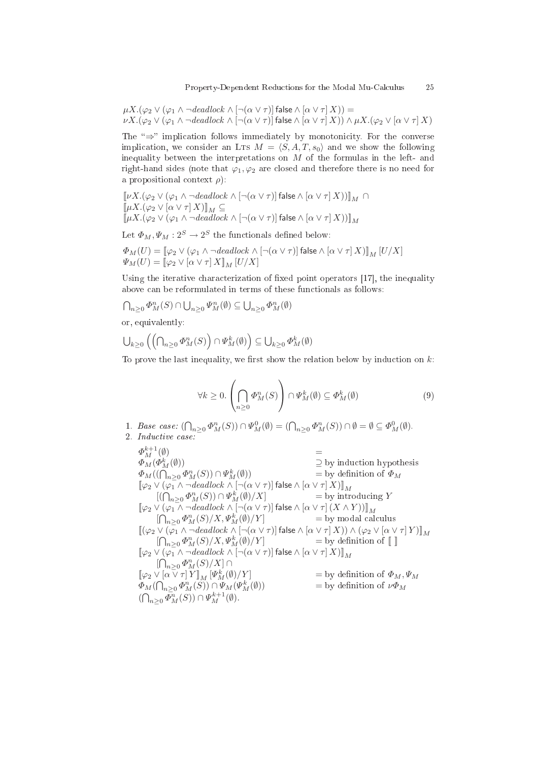$\mu X.(\varphi_2 \vee (\varphi_1 \wedge \neg \text{deadlock} \wedge [\neg(\alpha \vee \tau)]$  false  $\wedge [\alpha \vee \tau] X)$ ) =  $\nu X.(\varphi_2 \vee (\varphi_1 \wedge \neg \text{deadlock} \wedge [\neg(\alpha \vee \tau)]$  false  $\wedge [\alpha \vee \tau] X)) \wedge \mu X.(\varphi_2 \vee [\alpha \vee \tau] X)$ 

The " $\Rightarrow$ " implication follows immediately by monotonicity. For the converse implication, we consider an LTs  $M = \langle S, A, T, s_0 \rangle$  and we show the following inequality between the interpretations on  $M$  of the formulas in the left- and right-hand sides (note that  $\varphi_1, \varphi_2$  are closed and therefore there is no need for a propositional context  $\rho$ :

 $\llbracket \nu X.(\varphi_2 \vee (\varphi_1 \wedge \neg \text{deadlock} \wedge [\neg(\alpha \vee \tau)] \text{ false} \wedge [\alpha \vee \tau] X)) \rrbracket_M \cap$  $\llbracket \mu X.(\varphi_2 \vee [\alpha \vee \tau] X) \rrbracket_M \subseteq$  $\llbracket \mu X.(\varphi_2 \vee (\varphi_1 \wedge \neg\mathit{deadlock} \wedge [\neg(\alpha \vee \tau)] \mathsf{false} \wedge [\alpha \vee \tau] \, X)) \rrbracket_M$ 

Let  $\Phi_M, \Psi_M: 2^S \to 2^S$  the functionals defined below:

$$
\begin{array}{l} \varPhi_M(U) = \llbracket \varphi_2 \vee (\varphi_1 \wedge \neg \mathit{deadlock} \wedge [\neg (\alpha \vee \tau)] \mathop{\mathsf{false}} \wedge [\alpha \vee \tau] \, X) \rrbracket_M \, [U/X] \\ \varPsi_M(U) = \llbracket \varphi_2 \vee [\alpha \vee \tau] \, X \rrbracket_M \, [U/X] \end{array}
$$

Using the iterative characterization of fixed point operators [17], the inequality above can be reformulated in terms of these functionals as follows:

$$
\bigcap_{n\geq 0} \Phi_M^n(S) \cap \bigcup_{n\geq 0} \Psi_M^n(\emptyset) \subseteq \bigcup_{n\geq 0} \Phi_M^n(\emptyset)
$$

or, equivalently:

$$
\bigcup_{k\geq 0}\left(\left(\bigcap_{n\geq 0}\Phi_M^n(S)\right)\cap\Psi_M^k(\emptyset)\right)\subseteq \bigcup_{k\geq 0}\Phi_M^k(\emptyset)
$$

To prove the last inequality, we first show the relation below by induction on  $k$ :

$$
\forall k \ge 0. \left( \bigcap_{n \ge 0} \Phi_M^n(S) \right) \cap \Psi_M^k(\emptyset) \subseteq \Phi_M^k(\emptyset)
$$
\n(9)

- 1. Base case:  $(\bigcap_{n\geq 0} \Phi_M^n(S)) \cap \Psi_M^0(\emptyset) = (\bigcap_{n\geq 0} \Phi_M^n(S)) \cap \emptyset = \emptyset \subseteq \Phi_M^0(\emptyset)$ .
- 2. Indu
tive ase:

 $\Phi_M^{k+1}(\emptyset)$  =  $\varPhi_{M}(\varPhi_{\Lambda}^{k}% ,\mathcal{O}_{\Lambda}^{k})=0$  $\supseteq$  by induction hypothesis  $\Phi_M((\bigcap_{n\geq 0}\Phi_M^n(S))\cap \Psi_{\Lambda}^k$ = by definition of  $\Phi_M$  $[\![\varphi_2 \vee (\varphi_1 \wedge \neg \text{deadlock} \wedge [\neg(\alpha \vee \tau)]\!]$  false  $\wedge [\alpha \vee \tau] X)]_{\mathcal{M}}$  $[(\bigcap_{n\geq 0}\Phi_M^n(S))\cap \Psi_{M}^k]$  $=$  by introducing Y  $[\varphi_2 \vee (\varphi_1 \wedge \neg \text{deadlock} \wedge [\neg (\alpha \vee \tau)]$  false  $\wedge [\alpha \vee \tau] (X \wedge Y))]_M$  $[\bigcap_{n\geq 0} \Phi_M^n(S)/X, \Psi_N^k]$  $=$  by modal calculus  $[(\varphi_2 \vee (\varphi_1 \wedge \neg \text{deadlock} \wedge [\neg(\alpha \vee \tau)] \text{ false} \wedge [\alpha \vee \tau] X)) \wedge (\varphi_2 \vee [\alpha \vee \tau] Y)]_M$  $[\bigcap_{n\geq 0} \Phi_M^n(S)/X, \Psi_N^k]$  $=$  by definition of  $\llbracket \ \rrbracket$  $[\![\varphi_2 \vee (\varphi_1 \wedge \neg \text{deadlock} \wedge [\neg(\alpha \vee \tau)]\!]$  false  $\wedge [\alpha \vee \tau] X)]\!]_M$  $\left[\bigcap_{n\geq 0}\Phi_{M}^{n}(S)/X\right]\cap$  $[\![\varphi_2 \vee [\alpha \vee \tau]\, Y]\!]_M [\![\varPsi^k_M\!]$  $=$  by definition of  $\Phi_M, \Psi_M$  $\Phi_M(\bigcap_{n\geq 0}\Phi_M^n(S))\cap \Psi_M(\Psi_{M}^k)$ = by definition of  $\nu \Phi_M$  $(\bigcap_{n\geq 0} \bar{\Phi}_M^n(S)) \cap \Psi_M^{k+1}(\emptyset).$